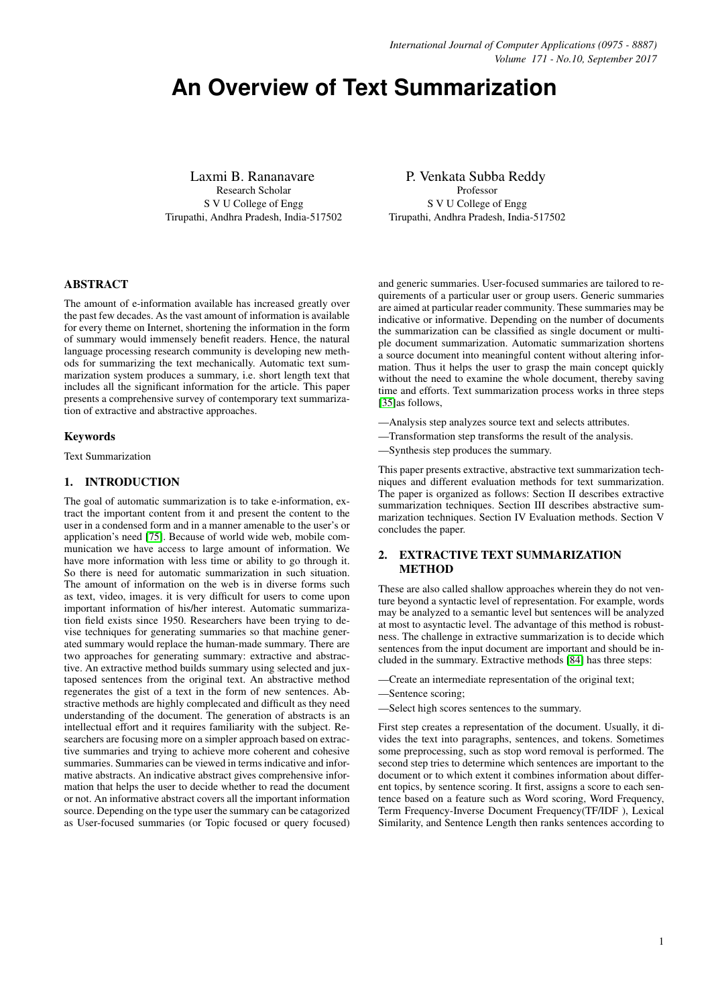# **An Overview of Text Summarization**

Laxmi B. Rananavare Research Scholar S V U College of Engg Tirupathi, Andhra Pradesh, India-517502

P. Venkata Subba Reddy Professor S V U College of Engg Tirupathi, Andhra Pradesh, India-517502

### ABSTRACT

The amount of e-information available has increased greatly over the past few decades. As the vast amount of information is available for every theme on Internet, shortening the information in the form of summary would immensely benefit readers. Hence, the natural language processing research community is developing new methods for summarizing the text mechanically. Automatic text summarization system produces a summary, i.e. short length text that includes all the significant information for the article. This paper presents a comprehensive survey of contemporary text summarization of extractive and abstractive approaches.

## Keywords

Text Summarization

#### 1. INTRODUCTION

The goal of automatic summarization is to take e-information, extract the important content from it and present the content to the user in a condensed form and in a manner amenable to the user's or application's need [\[75\]](#page-14-0). Because of world wide web, mobile communication we have access to large amount of information. We have more information with less time or ability to go through it. So there is need for automatic summarization in such situation. The amount of information on the web is in diverse forms such as text, video, images. it is very difficult for users to come upon important information of his/her interest. Automatic summarization field exists since 1950. Researchers have been trying to devise techniques for generating summaries so that machine generated summary would replace the human-made summary. There are two approaches for generating summary: extractive and abstractive. An extractive method builds summary using selected and juxtaposed sentences from the original text. An abstractive method regenerates the gist of a text in the form of new sentences. Abstractive methods are highly complecated and difficult as they need understanding of the document. The generation of abstracts is an intellectual effort and it requires familiarity with the subject. Researchers are focusing more on a simpler approach based on extractive summaries and trying to achieve more coherent and cohesive summaries. Summaries can be viewed in terms indicative and informative abstracts. An indicative abstract gives comprehensive information that helps the user to decide whether to read the document or not. An informative abstract covers all the important information source. Depending on the type user the summary can be catagorized as User-focused summaries (or Topic focused or query focused)

and generic summaries. User-focused summaries are tailored to requirements of a particular user or group users. Generic summaries are aimed at particular reader community. These summaries may be indicative or informative. Depending on the number of documents the summarization can be classified as single document or multiple document summarization. Automatic summarization shortens a source document into meaningful content without altering information. Thus it helps the user to grasp the main concept quickly without the need to examine the whole document, thereby saving time and efforts. Text summarization process works in three steps [\[35\]](#page-13-0)as follows,

- —Analysis step analyzes source text and selects attributes.
- —Transformation step transforms the result of the analysis.
- —Synthesis step produces the summary.

This paper presents extractive, abstractive text summarization techniques and different evaluation methods for text summarization. The paper is organized as follows: Section II describes extractive summarization techniques. Section III describes abstractive summarization techniques. Section IV Evaluation methods. Section V concludes the paper.

# 2. EXTRACTIVE TEXT SUMMARIZATION **METHOD**

These are also called shallow approaches wherein they do not venture beyond a syntactic level of representation. For example, words may be analyzed to a semantic level but sentences will be analyzed at most to asyntactic level. The advantage of this method is robustness. The challenge in extractive summarization is to decide which sentences from the input document are important and should be included in the summary. Extractive methods [\[84\]](#page-14-1) has three steps:

- —Create an intermediate representation of the original text;
- —Sentence scoring;
- —Select high scores sentences to the summary.

First step creates a representation of the document. Usually, it divides the text into paragraphs, sentences, and tokens. Sometimes some preprocessing, such as stop word removal is performed. The second step tries to determine which sentences are important to the document or to which extent it combines information about different topics, by sentence scoring. It first, assigns a score to each sentence based on a feature such as Word scoring, Word Frequency, Term Frequency-Inverse Document Frequency(TF/IDF ), Lexical Similarity, and Sentence Length then ranks sentences according to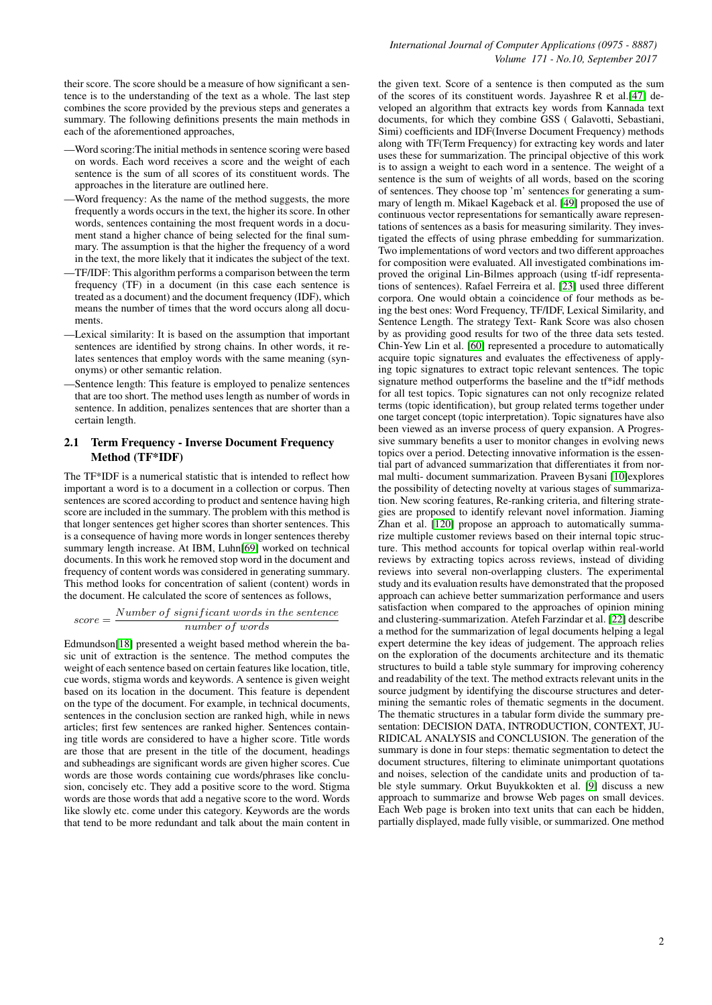their score. The score should be a measure of how significant a sentence is to the understanding of the text as a whole. The last step combines the score provided by the previous steps and generates a summary. The following definitions presents the main methods in each of the aforementioned approaches,

- —Word scoring:The initial methods in sentence scoring were based on words. Each word receives a score and the weight of each sentence is the sum of all scores of its constituent words. The approaches in the literature are outlined here.
- —Word frequency: As the name of the method suggests, the more frequently a words occurs in the text, the higher its score. In other words, sentences containing the most frequent words in a document stand a higher chance of being selected for the final summary. The assumption is that the higher the frequency of a word in the text, the more likely that it indicates the subject of the text.
- —TF/IDF: This algorithm performs a comparison between the term frequency (TF) in a document (in this case each sentence is treated as a document) and the document frequency (IDF), which means the number of times that the word occurs along all documents.
- —Lexical similarity: It is based on the assumption that important sentences are identified by strong chains. In other words, it relates sentences that employ words with the same meaning (synonyms) or other semantic relation.
- —Sentence length: This feature is employed to penalize sentences that are too short. The method uses length as number of words in sentence. In addition, penalizes sentences that are shorter than a certain length.

## 2.1 Term Frequency - Inverse Document Frequency Method (TF\*IDF)

The TF\*IDF is a numerical statistic that is intended to reflect how important a word is to a document in a collection or corpus. Then sentences are scored according to product and sentence having high score are included in the summary. The problem with this method is that longer sentences get higher scores than shorter sentences. This is a consequence of having more words in longer sentences thereby summary length increase. At IBM, Luhn[\[69\]](#page-14-2) worked on technical documents. In this work he removed stop word in the document and frequency of content words was considered in generating summary. This method looks for concentration of salient (content) words in the document. He calculated the score of sentences as follows,

#### $score = \frac{Number\ of\ significant\ words\ in\ the\ sentence}{1 - k}$ number of words

Edmundson[\[18\]](#page-12-0) presented a weight based method wherein the basic unit of extraction is the sentence. The method computes the weight of each sentence based on certain features like location, title, cue words, stigma words and keywords. A sentence is given weight based on its location in the document. This feature is dependent on the type of the document. For example, in technical documents, sentences in the conclusion section are ranked high, while in news articles; first few sentences are ranked higher. Sentences containing title words are considered to have a higher score. Title words are those that are present in the title of the document, headings and subheadings are significant words are given higher scores. Cue words are those words containing cue words/phrases like conclusion, concisely etc. They add a positive score to the word. Stigma words are those words that add a negative score to the word. Words like slowly etc. come under this category. Keywords are the words that tend to be more redundant and talk about the main content in the given text. Score of a sentence is then computed as the sum of the scores of its constituent words. Jayashree R et al.[\[47\]](#page-13-1) developed an algorithm that extracts key words from Kannada text documents, for which they combine GSS ( Galavotti, Sebastiani, Simi) coefficients and IDF(Inverse Document Frequency) methods along with TF(Term Frequency) for extracting key words and later uses these for summarization. The principal objective of this work is to assign a weight to each word in a sentence. The weight of a sentence is the sum of weights of all words, based on the scoring of sentences. They choose top 'm' sentences for generating a summary of length m. Mikael Kageback et al. [\[49\]](#page-13-2) proposed the use of continuous vector representations for semantically aware representations of sentences as a basis for measuring similarity. They investigated the effects of using phrase embedding for summarization. Two implementations of word vectors and two different approaches for composition were evaluated. All investigated combinations improved the original Lin-Bilmes approach (using tf-idf representations of sentences). Rafael Ferreira et al. [\[23\]](#page-12-1) used three different corpora. One would obtain a coincidence of four methods as being the best ones: Word Frequency, TF/IDF, Lexical Similarity, and Sentence Length. The strategy Text- Rank Score was also chosen by as providing good results for two of the three data sets tested. Chin-Yew Lin et al. [\[60\]](#page-14-3) represented a procedure to automatically acquire topic signatures and evaluates the effectiveness of applying topic signatures to extract topic relevant sentences. The topic signature method outperforms the baseline and the tf\*idf methods for all test topics. Topic signatures can not only recognize related terms (topic identification), but group related terms together under one target concept (topic interpretation). Topic signatures have also been viewed as an inverse process of query expansion. A Progressive summary benefits a user to monitor changes in evolving news topics over a period. Detecting innovative information is the essential part of advanced summarization that differentiates it from normal multi- document summarization. Praveen Bysani [\[10\]](#page-12-2)explores the possibility of detecting novelty at various stages of summarization. New scoring features, Re-ranking criteria, and filtering strategies are proposed to identify relevant novel information. Jiaming Zhan et al. [\[120\]](#page-16-0) propose an approach to automatically summarize multiple customer reviews based on their internal topic structure. This method accounts for topical overlap within real-world reviews by extracting topics across reviews, instead of dividing reviews into several non-overlapping clusters. The experimental study and its evaluation results have demonstrated that the proposed approach can achieve better summarization performance and users satisfaction when compared to the approaches of opinion mining and clustering-summarization. Atefeh Farzindar et al. [\[22\]](#page-12-3) describe a method for the summarization of legal documents helping a legal expert determine the key ideas of judgement. The approach relies on the exploration of the documents architecture and its thematic structures to build a table style summary for improving coherency and readability of the text. The method extracts relevant units in the source judgment by identifying the discourse structures and determining the semantic roles of thematic segments in the document. The thematic structures in a tabular form divide the summary presentation: DECISION DATA, INTRODUCTION, CONTEXT, JU-RIDICAL ANALYSIS and CONCLUSION. The generation of the summary is done in four steps: thematic segmentation to detect the document structures, filtering to eliminate unimportant quotations and noises, selection of the candidate units and production of table style summary. Orkut Buyukkokten et al. [\[9\]](#page-12-4) discuss a new approach to summarize and browse Web pages on small devices. Each Web page is broken into text units that can each be hidden, partially displayed, made fully visible, or summarized. One method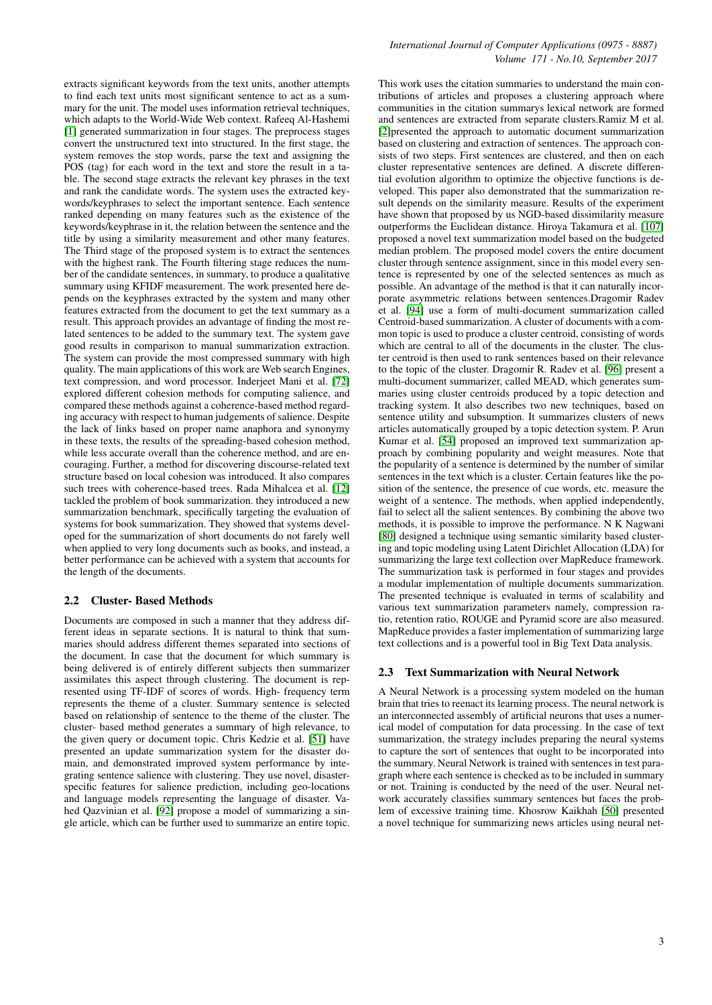extracts significant keywords from the text units, another attempts to find each text units most significant sentence to act as a summary for the unit. The model uses information retrieval techniques, which adapts to the World-Wide Web context. Rafeeq Al-Hashemi [\[1\]](#page-12-5) generated summarization in four stages. The preprocess stages convert the unstructured text into structured. In the first stage, the system removes the stop words, parse the text and assigning the POS (tag) for each word in the text and store the result in a table. The second stage extracts the relevant key phrases in the text and rank the candidate words. The system uses the extracted keywords/keyphrases to select the important sentence. Each sentence ranked depending on many features such as the existence of the keywords/keyphrase in it, the relation between the sentence and the title by using a similarity measurement and other many features. The Third stage of the proposed system is to extract the sentences with the highest rank. The Fourth filtering stage reduces the number of the candidate sentences, in summary, to produce a qualitative summary using KFIDF measurement. The work presented here depends on the keyphrases extracted by the system and many other features extracted from the document to get the text summary as a result. This approach provides an advantage of finding the most related sentences to be added to the summary text. The system gave good results in comparison to manual summarization extraction. The system can provide the most compressed summary with high quality. The main applications of this work are Web search Engines, text compression, and word processor. Inderjeet Mani et al. [\[72\]](#page-14-4) explored different cohesion methods for computing salience, and compared these methods against a coherence-based method regarding accuracy with respect to human judgements of salience. Despite the lack of links based on proper name anaphora and synonymy in these texts, the results of the spreading-based cohesion method, while less accurate overall than the coherence method, and are encouraging. Further, a method for discovering discourse-related text structure based on local cohesion was introduced. It also compares such trees with coherence-based trees. Rada Mihalcea et al. [\[12\]](#page-12-6) tackled the problem of book summarization. they introduced a new summarization benchmark, specifically targeting the evaluation of systems for book summarization. They showed that systems developed for the summarization of short documents do not farely well when applied to very long documents such as books, and instead, a better performance can be achieved with a system that accounts for the length of the documents.

## 2.2 Cluster- Based Methods

Documents are composed in such a manner that they address different ideas in separate sections. It is natural to think that summaries should address different themes separated into sections of the document. In case that the document for which summary is being delivered is of entirely different subjects then summarizer assimilates this aspect through clustering. The document is represented using TF-IDF of scores of words. High- frequency term represents the theme of a cluster. Summary sentence is selected based on relationship of sentence to the theme of the cluster. The cluster- based method generates a summary of high relevance, to the given query or document topic. Chris Kedzie et al. [\[51\]](#page-13-3) have presented an update summarization system for the disaster domain, and demonstrated improved system performance by integrating sentence salience with clustering. They use novel, disasterspecific features for salience prediction, including geo-locations and language models representing the language of disaster. Vahed Qazvinian et al. [\[92\]](#page-15-0) propose a model of summarizing a single article, which can be further used to summarize an entire topic.

This work uses the citation summaries to understand the main contributions of articles and proposes a clustering approach where communities in the citation summarys lexical network are formed and sentences are extracted from separate clusters.Ramiz M et al. [\[2\]](#page-12-7)presented the approach to automatic document summarization based on clustering and extraction of sentences. The approach consists of two steps. First sentences are clustered, and then on each cluster representative sentences are defined. A discrete differential evolution algorithm to optimize the objective functions is developed. This paper also demonstrated that the summarization result depends on the similarity measure. Results of the experiment have shown that proposed by us NGD-based dissimilarity measure outperforms the Euclidean distance. Hiroya Takamura et al. [\[107\]](#page-15-1) proposed a novel text summarization model based on the budgeted median problem. The proposed model covers the entire document cluster through sentence assignment, since in this model every sentence is represented by one of the selected sentences as much as possible. An advantage of the method is that it can naturally incorporate asymmetric relations between sentences.Dragomir Radev et al. [\[94\]](#page-15-2) use a form of multi-document summarization called Centroid-based summarization. A cluster of documents with a common topic is used to produce a cluster centroid, consisting of words which are central to all of the documents in the cluster. The cluster centroid is then used to rank sentences based on their relevance to the topic of the cluster. Dragomir R. Radev et al. [\[96\]](#page-15-3) present a multi-document summarizer, called MEAD, which generates summaries using cluster centroids produced by a topic detection and tracking system. It also describes two new techniques, based on sentence utility and subsumption. It summarizes clusters of news articles automatically grouped by a topic detection system. P. Arun Kumar et al. [\[54\]](#page-13-4) proposed an improved text summarization approach by combining popularity and weight measures. Note that the popularity of a sentence is determined by the number of similar sentences in the text which is a cluster. Certain features like the position of the sentence, the presence of cue words, etc. measure the weight of a sentence. The methods, when applied independently, fail to select all the salient sentences. By combining the above two methods, it is possible to improve the performance. N K Nagwani [\[80\]](#page-14-5) designed a technique using semantic similarity based clustering and topic modeling using Latent Dirichlet Allocation (LDA) for summarizing the large text collection over MapReduce framework. The summarization task is performed in four stages and provides a modular implementation of multiple documents summarization. The presented technique is evaluated in terms of scalability and various text summarization parameters namely, compression ratio, retention ratio, ROUGE and Pyramid score are also measured. MapReduce provides a faster implementation of summarizing large text collections and is a powerful tool in Big Text Data analysis.

#### 2.3 Text Summarization with Neural Network

A Neural Network is a processing system modeled on the human brain that tries to reenact its learning process. The neural network is an interconnected assembly of artificial neurons that uses a numerical model of computation for data processing. In the case of text summarization, the strategy includes preparing the neural systems to capture the sort of sentences that ought to be incorporated into the summary. Neural Network is trained with sentences in test paragraph where each sentence is checked as to be included in summary or not. Training is conducted by the need of the user. Neural network accurately classifies summary sentences but faces the problem of excessive training time. Khosrow Kaikhah [\[50\]](#page-13-5) presented a novel technique for summarizing news articles using neural net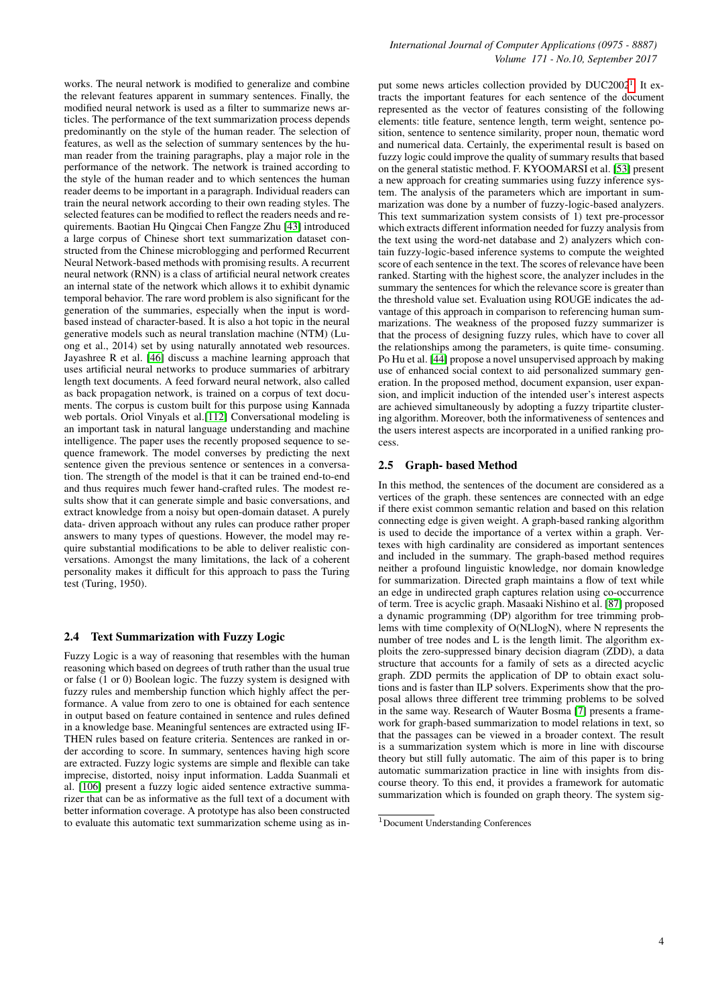works. The neural network is modified to generalize and combine the relevant features apparent in summary sentences. Finally, the modified neural network is used as a filter to summarize news articles. The performance of the text summarization process depends predominantly on the style of the human reader. The selection of features, as well as the selection of summary sentences by the human reader from the training paragraphs, play a major role in the performance of the network. The network is trained according to the style of the human reader and to which sentences the human reader deems to be important in a paragraph. Individual readers can train the neural network according to their own reading styles. The selected features can be modified to reflect the readers needs and requirements. Baotian Hu Qingcai Chen Fangze Zhu [\[43\]](#page-13-6) introduced a large corpus of Chinese short text summarization dataset constructed from the Chinese microblogging and performed Recurrent Neural Network-based methods with promising results. A recurrent neural network (RNN) is a class of artificial neural network creates an internal state of the network which allows it to exhibit dynamic temporal behavior. The rare word problem is also significant for the generation of the summaries, especially when the input is wordbased instead of character-based. It is also a hot topic in the neural generative models such as neural translation machine (NTM) (Luong et al., 2014) set by using naturally annotated web resources. Jayashree R et al. [\[46\]](#page-13-7) discuss a machine learning approach that uses artificial neural networks to produce summaries of arbitrary length text documents. A feed forward neural network, also called as back propagation network, is trained on a corpus of text documents. The corpus is custom built for this purpose using Kannada web portals. Oriol Vinyals et al.[\[112\]](#page-15-4) Conversational modeling is an important task in natural language understanding and machine intelligence. The paper uses the recently proposed sequence to sequence framework. The model converses by predicting the next sentence given the previous sentence or sentences in a conversation. The strength of the model is that it can be trained end-to-end and thus requires much fewer hand-crafted rules. The modest results show that it can generate simple and basic conversations, and extract knowledge from a noisy but open-domain dataset. A purely data- driven approach without any rules can produce rather proper answers to many types of questions. However, the model may require substantial modifications to be able to deliver realistic conversations. Amongst the many limitations, the lack of a coherent personality makes it difficult for this approach to pass the Turing test (Turing, 1950).

## 2.4 Text Summarization with Fuzzy Logic

Fuzzy Logic is a way of reasoning that resembles with the human reasoning which based on degrees of truth rather than the usual true or false (1 or 0) Boolean logic. The fuzzy system is designed with fuzzy rules and membership function which highly affect the performance. A value from zero to one is obtained for each sentence in output based on feature contained in sentence and rules defined in a knowledge base. Meaningful sentences are extracted using IF-THEN rules based on feature criteria. Sentences are ranked in order according to score. In summary, sentences having high score are extracted. Fuzzy logic systems are simple and flexible can take imprecise, distorted, noisy input information. Ladda Suanmali et al. [\[106\]](#page-15-5) present a fuzzy logic aided sentence extractive summarizer that can be as informative as the full text of a document with better information coverage. A prototype has also been constructed to evaluate this automatic text summarization scheme using as in-

put some news articles collection provided by DUC2002<sup>[1](#page-3-0)</sup>. It extracts the important features for each sentence of the document represented as the vector of features consisting of the following elements: title feature, sentence length, term weight, sentence position, sentence to sentence similarity, proper noun, thematic word and numerical data. Certainly, the experimental result is based on fuzzy logic could improve the quality of summary results that based on the general statistic method. F. KYOOMARSI et al. [\[53\]](#page-13-8) present a new approach for creating summaries using fuzzy inference system. The analysis of the parameters which are important in summarization was done by a number of fuzzy-logic-based analyzers. This text summarization system consists of 1) text pre-processor which extracts different information needed for fuzzy analysis from the text using the word-net database and 2) analyzers which contain fuzzy-logic-based inference systems to compute the weighted score of each sentence in the text. The scores of relevance have been ranked. Starting with the highest score, the analyzer includes in the summary the sentences for which the relevance score is greater than the threshold value set. Evaluation using ROUGE indicates the advantage of this approach in comparison to referencing human summarizations. The weakness of the proposed fuzzy summarizer is that the process of designing fuzzy rules, which have to cover all the relationships among the parameters, is quite time- consuming. Po Hu et al. [\[44\]](#page-13-9) propose a novel unsupervised approach by making use of enhanced social context to aid personalized summary generation. In the proposed method, document expansion, user expansion, and implicit induction of the intended user's interest aspects are achieved simultaneously by adopting a fuzzy tripartite clustering algorithm. Moreover, both the informativeness of sentences and the users interest aspects are incorporated in a unified ranking process.

#### 2.5 Graph- based Method

In this method, the sentences of the document are considered as a vertices of the graph. these sentences are connected with an edge if there exist common semantic relation and based on this relation connecting edge is given weight. A graph-based ranking algorithm is used to decide the importance of a vertex within a graph. Vertexes with high cardinality are considered as important sentences and included in the summary. The graph-based method requires neither a profound linguistic knowledge, nor domain knowledge for summarization. Directed graph maintains a flow of text while an edge in undirected graph captures relation using co-occurrence of term. Tree is acyclic graph. Masaaki Nishino et al. [\[87\]](#page-14-6) proposed a dynamic programming (DP) algorithm for tree trimming problems with time complexity of O(NLlogN), where N represents the number of tree nodes and L is the length limit. The algorithm exploits the zero-suppressed binary decision diagram (ZDD), a data structure that accounts for a family of sets as a directed acyclic graph. ZDD permits the application of DP to obtain exact solutions and is faster than ILP solvers. Experiments show that the proposal allows three different tree trimming problems to be solved in the same way. Research of Wauter Bosma [\[7\]](#page-12-8) presents a framework for graph-based summarization to model relations in text, so that the passages can be viewed in a broader context. The result is a summarization system which is more in line with discourse theory but still fully automatic. The aim of this paper is to bring automatic summarization practice in line with insights from discourse theory. To this end, it provides a framework for automatic summarization which is founded on graph theory. The system sig-

<span id="page-3-0"></span><sup>1</sup>Document Understanding Conferences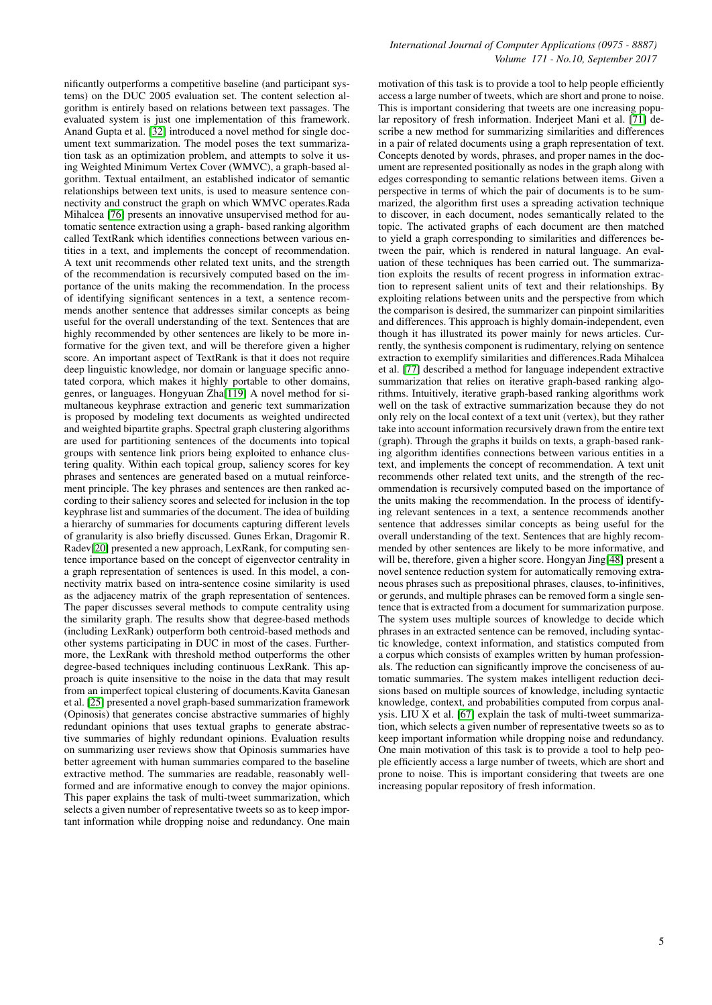nificantly outperforms a competitive baseline (and participant systems) on the DUC 2005 evaluation set. The content selection algorithm is entirely based on relations between text passages. The evaluated system is just one implementation of this framework. Anand Gupta et al. [\[32\]](#page-13-10) introduced a novel method for single document text summarization. The model poses the text summarization task as an optimization problem, and attempts to solve it using Weighted Minimum Vertex Cover (WMVC), a graph-based algorithm. Textual entailment, an established indicator of semantic relationships between text units, is used to measure sentence connectivity and construct the graph on which WMVC operates.Rada Mihalcea [\[76\]](#page-14-7) presents an innovative unsupervised method for automatic sentence extraction using a graph- based ranking algorithm called TextRank which identifies connections between various entities in a text, and implements the concept of recommendation. A text unit recommends other related text units, and the strength of the recommendation is recursively computed based on the importance of the units making the recommendation. In the process of identifying significant sentences in a text, a sentence recommends another sentence that addresses similar concepts as being useful for the overall understanding of the text. Sentences that are highly recommended by other sentences are likely to be more informative for the given text, and will be therefore given a higher score. An important aspect of TextRank is that it does not require deep linguistic knowledge, nor domain or language specific annotated corpora, which makes it highly portable to other domains, genres, or languages. Hongyuan Zha[\[119\]](#page-16-1) A novel method for simultaneous keyphrase extraction and generic text summarization is proposed by modeling text documents as weighted undirected and weighted bipartite graphs. Spectral graph clustering algorithms are used for partitioning sentences of the documents into topical groups with sentence link priors being exploited to enhance clustering quality. Within each topical group, saliency scores for key phrases and sentences are generated based on a mutual reinforcement principle. The key phrases and sentences are then ranked according to their saliency scores and selected for inclusion in the top keyphrase list and summaries of the document. The idea of building a hierarchy of summaries for documents capturing different levels of granularity is also briefly discussed. Gunes Erkan, Dragomir R. Radev[\[20\]](#page-12-9) presented a new approach, LexRank, for computing sentence importance based on the concept of eigenvector centrality in a graph representation of sentences is used. In this model, a connectivity matrix based on intra-sentence cosine similarity is used as the adjacency matrix of the graph representation of sentences. The paper discusses several methods to compute centrality using the similarity graph. The results show that degree-based methods (including LexRank) outperform both centroid-based methods and other systems participating in DUC in most of the cases. Furthermore, the LexRank with threshold method outperforms the other degree-based techniques including continuous LexRank. This approach is quite insensitive to the noise in the data that may result from an imperfect topical clustering of documents.Kavita Ganesan et al. [\[25\]](#page-12-10) presented a novel graph-based summarization framework (Opinosis) that generates concise abstractive summaries of highly redundant opinions that uses textual graphs to generate abstractive summaries of highly redundant opinions. Evaluation results on summarizing user reviews show that Opinosis summaries have better agreement with human summaries compared to the baseline extractive method. The summaries are readable, reasonably wellformed and are informative enough to convey the major opinions. This paper explains the task of multi-tweet summarization, which selects a given number of representative tweets so as to keep important information while dropping noise and redundancy. One main

## *International Journal of Computer Applications (0975 - 8887) Volume 171 - No.10, September 2017*

motivation of this task is to provide a tool to help people efficiently access a large number of tweets, which are short and prone to noise. This is important considering that tweets are one increasing popular repository of fresh information. Inderjeet Mani et al. [\[71\]](#page-14-8) describe a new method for summarizing similarities and differences in a pair of related documents using a graph representation of text. Concepts denoted by words, phrases, and proper names in the document are represented positionally as nodes in the graph along with edges corresponding to semantic relations between items. Given a perspective in terms of which the pair of documents is to be summarized, the algorithm first uses a spreading activation technique to discover, in each document, nodes semantically related to the topic. The activated graphs of each document are then matched to yield a graph corresponding to similarities and differences between the pair, which is rendered in natural language. An evaluation of these techniques has been carried out. The summarization exploits the results of recent progress in information extraction to represent salient units of text and their relationships. By exploiting relations between units and the perspective from which the comparison is desired, the summarizer can pinpoint similarities and differences. This approach is highly domain-independent, even though it has illustrated its power mainly for news articles. Currently, the synthesis component is rudimentary, relying on sentence extraction to exemplify similarities and differences.Rada Mihalcea et al. [\[77\]](#page-14-9) described a method for language independent extractive summarization that relies on iterative graph-based ranking algorithms. Intuitively, iterative graph-based ranking algorithms work well on the task of extractive summarization because they do not only rely on the local context of a text unit (vertex), but they rather take into account information recursively drawn from the entire text (graph). Through the graphs it builds on texts, a graph-based ranking algorithm identifies connections between various entities in a text, and implements the concept of recommendation. A text unit recommends other related text units, and the strength of the recommendation is recursively computed based on the importance of the units making the recommendation. In the process of identifying relevant sentences in a text, a sentence recommends another sentence that addresses similar concepts as being useful for the overall understanding of the text. Sentences that are highly recommended by other sentences are likely to be more informative, and will be, therefore, given a higher score. Hongyan Jing[\[48\]](#page-13-11) present a novel sentence reduction system for automatically removing extraneous phrases such as prepositional phrases, clauses, to-infinitives, or gerunds, and multiple phrases can be removed form a single sentence that is extracted from a document for summarization purpose. The system uses multiple sources of knowledge to decide which phrases in an extracted sentence can be removed, including syntactic knowledge, context information, and statistics computed from a corpus which consists of examples written by human professionals. The reduction can significantly improve the conciseness of automatic summaries. The system makes intelligent reduction decisions based on multiple sources of knowledge, including syntactic knowledge, context, and probabilities computed from corpus analysis. LIU X et al. [\[67\]](#page-14-10) explain the task of multi-tweet summarization, which selects a given number of representative tweets so as to keep important information while dropping noise and redundancy. One main motivation of this task is to provide a tool to help people efficiently access a large number of tweets, which are short and prone to noise. This is important considering that tweets are one increasing popular repository of fresh information.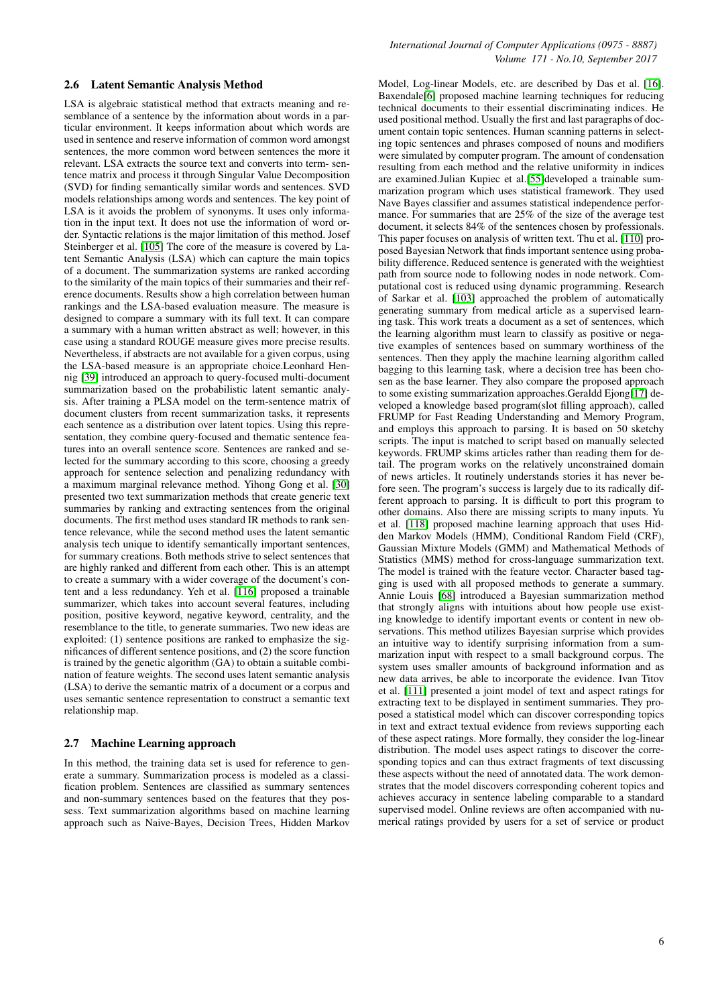#### 2.6 Latent Semantic Analysis Method

LSA is algebraic statistical method that extracts meaning and resemblance of a sentence by the information about words in a particular environment. It keeps information about which words are used in sentence and reserve information of common word amongst sentences, the more common word between sentences the more it relevant. LSA extracts the source text and converts into term- sentence matrix and process it through Singular Value Decomposition (SVD) for finding semantically similar words and sentences. SVD models relationships among words and sentences. The key point of LSA is it avoids the problem of synonyms. It uses only information in the input text. It does not use the information of word order. Syntactic relations is the major limitation of this method. Josef Steinberger et al. [\[105\]](#page-15-6) The core of the measure is covered by Latent Semantic Analysis (LSA) which can capture the main topics of a document. The summarization systems are ranked according to the similarity of the main topics of their summaries and their reference documents. Results show a high correlation between human rankings and the LSA-based evaluation measure. The measure is designed to compare a summary with its full text. It can compare a summary with a human written abstract as well; however, in this case using a standard ROUGE measure gives more precise results. Nevertheless, if abstracts are not available for a given corpus, using the LSA-based measure is an appropriate choice.Leonhard Hennig [\[39\]](#page-13-12) introduced an approach to query-focused multi-document summarization based on the probabilistic latent semantic analysis. After training a PLSA model on the term-sentence matrix of document clusters from recent summarization tasks, it represents each sentence as a distribution over latent topics. Using this representation, they combine query-focused and thematic sentence features into an overall sentence score. Sentences are ranked and selected for the summary according to this score, choosing a greedy approach for sentence selection and penalizing redundancy with a maximum marginal relevance method. Yihong Gong et al. [\[30\]](#page-13-13) presented two text summarization methods that create generic text summaries by ranking and extracting sentences from the original documents. The first method uses standard IR methods to rank sentence relevance, while the second method uses the latent semantic analysis tech unique to identify semantically important sentences, for summary creations. Both methods strive to select sentences that are highly ranked and different from each other. This is an attempt to create a summary with a wider coverage of the document's content and a less redundancy. Yeh et al. [\[116\]](#page-15-7) proposed a trainable summarizer, which takes into account several features, including position, positive keyword, negative keyword, centrality, and the resemblance to the title, to generate summaries. Two new ideas are exploited: (1) sentence positions are ranked to emphasize the significances of different sentence positions, and (2) the score function is trained by the genetic algorithm (GA) to obtain a suitable combination of feature weights. The second uses latent semantic analysis (LSA) to derive the semantic matrix of a document or a corpus and uses semantic sentence representation to construct a semantic text relationship map.

### 2.7 Machine Learning approach

In this method, the training data set is used for reference to generate a summary. Summarization process is modeled as a classification problem. Sentences are classified as summary sentences and non-summary sentences based on the features that they possess. Text summarization algorithms based on machine learning approach such as Naive-Bayes, Decision Trees, Hidden Markov Model, Log-linear Models, etc. are described by Das et al. [\[16\]](#page-12-11). Baxendale[\[6\]](#page-12-12) proposed machine learning techniques for reducing technical documents to their essential discriminating indices. He used positional method. Usually the first and last paragraphs of document contain topic sentences. Human scanning patterns in selecting topic sentences and phrases composed of nouns and modifiers were simulated by computer program. The amount of condensation resulting from each method and the relative uniformity in indices are examined.Julian Kupiec et al.[\[55\]](#page-13-14)developed a trainable summarization program which uses statistical framework. They used Nave Bayes classifier and assumes statistical independence performance. For summaries that are 25% of the size of the average test document, it selects 84% of the sentences chosen by professionals. This paper focuses on analysis of written text. Thu et al. [\[110\]](#page-15-8) proposed Bayesian Network that finds important sentence using probability difference. Reduced sentence is generated with the weightiest path from source node to following nodes in node network. Computational cost is reduced using dynamic programming. Research of Sarkar et al. [\[103\]](#page-15-9) approached the problem of automatically generating summary from medical article as a supervised learning task. This work treats a document as a set of sentences, which the learning algorithm must learn to classify as positive or negative examples of sentences based on summary worthiness of the sentences. Then they apply the machine learning algorithm called bagging to this learning task, where a decision tree has been chosen as the base learner. They also compare the proposed approach to some existing summarization approaches.Geraldd Ejong[\[17\]](#page-12-13) developed a knowledge based program(slot filling approach), called FRUMP for Fast Reading Understanding and Memory Program, and employs this approach to parsing. It is based on 50 sketchy scripts. The input is matched to script based on manually selected keywords. FRUMP skims articles rather than reading them for detail. The program works on the relatively unconstrained domain of news articles. It routinely understands stories it has never before seen. The program's success is largely due to its radically different approach to parsing. It is difficult to port this program to other domains. Also there are missing scripts to many inputs. Yu et al. [\[118\]](#page-15-10) proposed machine learning approach that uses Hidden Markov Models (HMM), Conditional Random Field (CRF), Gaussian Mixture Models (GMM) and Mathematical Methods of Statistics (MMS) method for cross-language summarization text. The model is trained with the feature vector. Character based tagging is used with all proposed methods to generate a summary. Annie Louis [\[68\]](#page-14-11) introduced a Bayesian summarization method that strongly aligns with intuitions about how people use existing knowledge to identify important events or content in new observations. This method utilizes Bayesian surprise which provides an intuitive way to identify surprising information from a summarization input with respect to a small background corpus. The system uses smaller amounts of background information and as new data arrives, be able to incorporate the evidence. Ivan Titov et al. [\[111\]](#page-15-11) presented a joint model of text and aspect ratings for extracting text to be displayed in sentiment summaries. They proposed a statistical model which can discover corresponding topics in text and extract textual evidence from reviews supporting each of these aspect ratings. More formally, they consider the log-linear distribution. The model uses aspect ratings to discover the corresponding topics and can thus extract fragments of text discussing these aspects without the need of annotated data. The work demonstrates that the model discovers corresponding coherent topics and achieves accuracy in sentence labeling comparable to a standard supervised model. Online reviews are often accompanied with numerical ratings provided by users for a set of service or product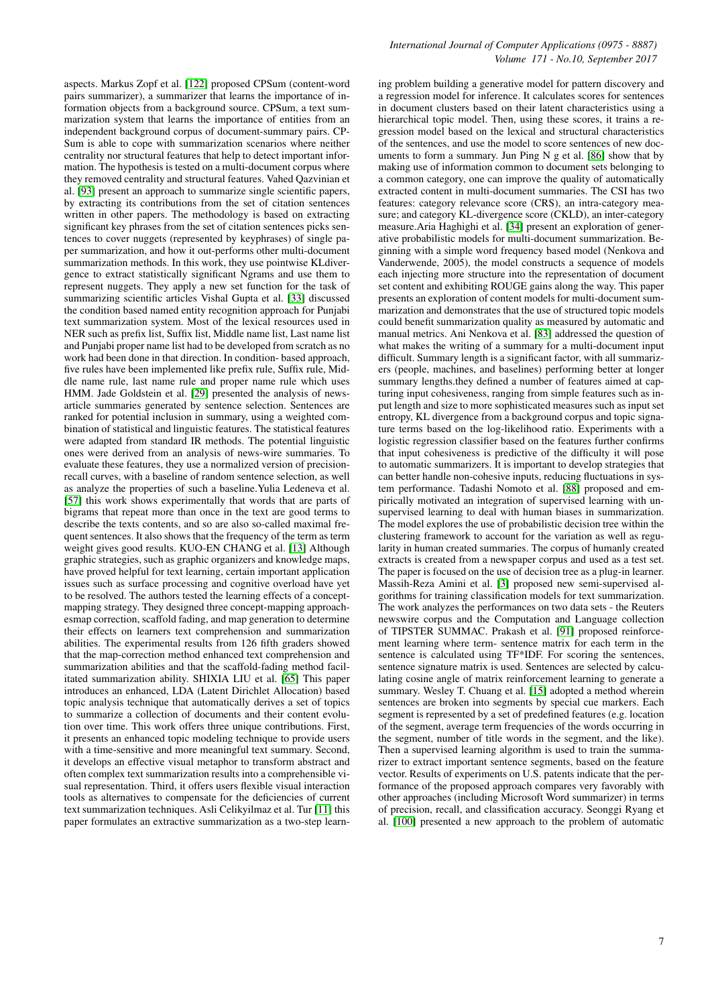aspects. Markus Zopf et al. [\[122\]](#page-16-2) proposed CPSum (content-word pairs summarizer), a summarizer that learns the importance of information objects from a background source. CPSum, a text summarization system that learns the importance of entities from an independent background corpus of document-summary pairs. CP-Sum is able to cope with summarization scenarios where neither centrality nor structural features that help to detect important information. The hypothesis is tested on a multi-document corpus where they removed centrality and structural features. Vahed Qazvinian et al. [\[93\]](#page-15-12) present an approach to summarize single scientific papers, by extracting its contributions from the set of citation sentences written in other papers. The methodology is based on extracting significant key phrases from the set of citation sentences picks sentences to cover nuggets (represented by keyphrases) of single paper summarization, and how it out-performs other multi-document summarization methods. In this work, they use pointwise KLdivergence to extract statistically significant Ngrams and use them to represent nuggets. They apply a new set function for the task of summarizing scientific articles Vishal Gupta et al. [\[33\]](#page-13-15) discussed the condition based named entity recognition approach for Punjabi text summarization system. Most of the lexical resources used in NER such as prefix list, Suffix list, Middle name list, Last name list and Punjabi proper name list had to be developed from scratch as no work had been done in that direction. In condition- based approach, five rules have been implemented like prefix rule, Suffix rule, Middle name rule, last name rule and proper name rule which uses HMM. Jade Goldstein et al. [\[29\]](#page-12-14) presented the analysis of newsarticle summaries generated by sentence selection. Sentences are ranked for potential inclusion in summary, using a weighted combination of statistical and linguistic features. The statistical features were adapted from standard IR methods. The potential linguistic ones were derived from an analysis of news-wire summaries. To evaluate these features, they use a normalized version of precisionrecall curves, with a baseline of random sentence selection, as well as analyze the properties of such a baseline.Yulia Ledeneva et al. [\[57\]](#page-13-16) this work shows experimentally that words that are parts of bigrams that repeat more than once in the text are good terms to describe the texts contents, and so are also so-called maximal frequent sentences. It also shows that the frequency of the term as term weight gives good results. KUO-EN CHANG et al. [\[13\]](#page-12-15) Although graphic strategies, such as graphic organizers and knowledge maps, have proved helpful for text learning, certain important application issues such as surface processing and cognitive overload have yet to be resolved. The authors tested the learning effects of a conceptmapping strategy. They designed three concept-mapping approachesmap correction, scaffold fading, and map generation to determine their effects on learners text comprehension and summarization abilities. The experimental results from 126 fifth graders showed that the map-correction method enhanced text comprehension and summarization abilities and that the scaffold-fading method facilitated summarization ability. SHIXIA LIU et al. [\[65\]](#page-14-12) This paper introduces an enhanced, LDA (Latent Dirichlet Allocation) based topic analysis technique that automatically derives a set of topics to summarize a collection of documents and their content evolution over time. This work offers three unique contributions. First, it presents an enhanced topic modeling technique to provide users with a time-sensitive and more meaningful text summary. Second, it develops an effective visual metaphor to transform abstract and often complex text summarization results into a comprehensible visual representation. Third, it offers users flexible visual interaction tools as alternatives to compensate for the deficiencies of current text summarization techniques. Asli Celikyilmaz et al. Tur [\[11\]](#page-12-16) this paper formulates an extractive summarization as a two-step learning problem building a generative model for pattern discovery and a regression model for inference. It calculates scores for sentences in document clusters based on their latent characteristics using a hierarchical topic model. Then, using these scores, it trains a regression model based on the lexical and structural characteristics of the sentences, and use the model to score sentences of new documents to form a summary. Jun Ping N g et al. [\[86\]](#page-14-13) show that by making use of information common to document sets belonging to a common category, one can improve the quality of automatically extracted content in multi-document summaries. The CSI has two features: category relevance score (CRS), an intra-category measure; and category KL-divergence score (CKLD), an inter-category measure.Aria Haghighi et al. [\[34\]](#page-13-17) present an exploration of generative probabilistic models for multi-document summarization. Beginning with a simple word frequency based model (Nenkova and Vanderwende, 2005), the model constructs a sequence of models each injecting more structure into the representation of document set content and exhibiting ROUGE gains along the way. This paper presents an exploration of content models for multi-document summarization and demonstrates that the use of structured topic models could benefit summarization quality as measured by automatic and manual metrics. Ani Nenkova et al. [\[83\]](#page-14-14) addressed the question of what makes the writing of a summary for a multi-document input difficult. Summary length is a significant factor, with all summarizers (people, machines, and baselines) performing better at longer summary lengths.they defined a number of features aimed at capturing input cohesiveness, ranging from simple features such as input length and size to more sophisticated measures such as input set entropy, KL divergence from a background corpus and topic signature terms based on the log-likelihood ratio. Experiments with a logistic regression classifier based on the features further confirms that input cohesiveness is predictive of the difficulty it will pose to automatic summarizers. It is important to develop strategies that can better handle non-cohesive inputs, reducing fluctuations in system performance. Tadashi Nomoto et al. [\[88\]](#page-14-15) proposed and empirically motivated an integration of supervised learning with unsupervised learning to deal with human biases in summarization. The model explores the use of probabilistic decision tree within the clustering framework to account for the variation as well as regularity in human created summaries. The corpus of humanly created extracts is created from a newspaper corpus and used as a test set. The paper is focused on the use of decision tree as a plug-in learner. Massih-Reza Amini et al. [\[3\]](#page-12-17) proposed new semi-supervised algorithms for training classification models for text summarization. The work analyzes the performances on two data sets - the Reuters newswire corpus and the Computation and Language collection of TIPSTER SUMMAC. Prakash et al. [\[91\]](#page-15-13) proposed reinforcement learning where term- sentence matrix for each term in the sentence is calculated using TF\*IDF. For scoring the sentences, sentence signature matrix is used. Sentences are selected by calculating cosine angle of matrix reinforcement learning to generate a summary. Wesley T. Chuang et al. [\[15\]](#page-12-18) adopted a method wherein sentences are broken into segments by special cue markers. Each segment is represented by a set of predefined features (e.g. location of the segment, average term frequencies of the words occurring in the segment, number of title words in the segment, and the like). Then a supervised learning algorithm is used to train the summarizer to extract important sentence segments, based on the feature vector. Results of experiments on U.S. patents indicate that the performance of the proposed approach compares very favorably with other approaches (including Microsoft Word summarizer) in terms of precision, recall, and classification accuracy. Seonggi Ryang et al. [\[100\]](#page-15-14) presented a new approach to the problem of automatic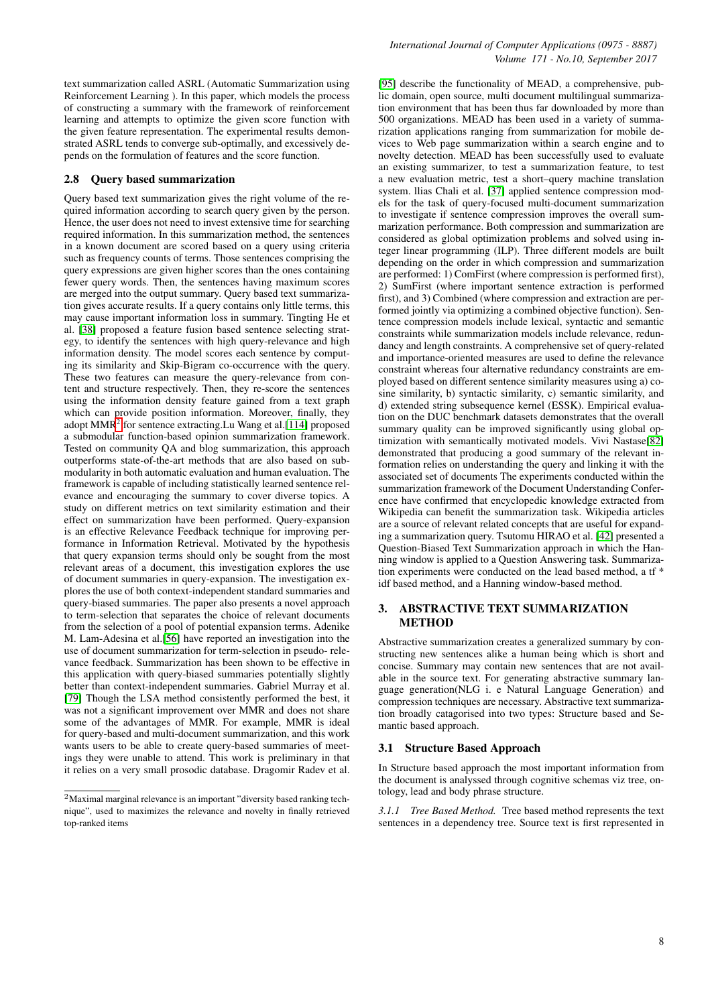text summarization called ASRL (Automatic Summarization using Reinforcement Learning ). In this paper, which models the process of constructing a summary with the framework of reinforcement learning and attempts to optimize the given score function with the given feature representation. The experimental results demonstrated ASRL tends to converge sub-optimally, and excessively depends on the formulation of features and the score function.

#### 2.8 Query based summarization

Query based text summarization gives the right volume of the required information according to search query given by the person. Hence, the user does not need to invest extensive time for searching required information. In this summarization method, the sentences in a known document are scored based on a query using criteria such as frequency counts of terms. Those sentences comprising the query expressions are given higher scores than the ones containing fewer query words. Then, the sentences having maximum scores are merged into the output summary. Query based text summarization gives accurate results. If a query contains only little terms, this may cause important information loss in summary. Tingting He et al. [\[38\]](#page-13-18) proposed a feature fusion based sentence selecting strategy, to identify the sentences with high query-relevance and high information density. The model scores each sentence by computing its similarity and Skip-Bigram co-occurrence with the query. These two features can measure the query-relevance from content and structure respectively. Then, they re-score the sentences using the information density feature gained from a text graph which can provide position information. Moreover, finally, they adopt MMR<sup>[2](#page-7-0)</sup> for sentence extracting.Lu Wang et al.[\[114\]](#page-15-15) proposed a submodular function-based opinion summarization framework. Tested on community QA and blog summarization, this approach outperforms state-of-the-art methods that are also based on submodularity in both automatic evaluation and human evaluation. The framework is capable of including statistically learned sentence relevance and encouraging the summary to cover diverse topics. A study on different metrics on text similarity estimation and their effect on summarization have been performed. Query-expansion is an effective Relevance Feedback technique for improving performance in Information Retrieval. Motivated by the hypothesis that query expansion terms should only be sought from the most relevant areas of a document, this investigation explores the use of document summaries in query-expansion. The investigation explores the use of both context-independent standard summaries and query-biased summaries. The paper also presents a novel approach to term-selection that separates the choice of relevant documents from the selection of a pool of potential expansion terms. Adenike M. Lam-Adesina et al.[\[56\]](#page-13-19) have reported an investigation into the use of document summarization for term-selection in pseudo- relevance feedback. Summarization has been shown to be effective in this application with query-biased summaries potentially slightly better than context-independent summaries. Gabriel Murray et al. [\[79\]](#page-14-16) Though the LSA method consistently performed the best, it was not a significant improvement over MMR and does not share some of the advantages of MMR. For example, MMR is ideal for query-based and multi-document summarization, and this work wants users to be able to create query-based summaries of meetings they were unable to attend. This work is preliminary in that it relies on a very small prosodic database. Dragomir Radev et al.

[\[95\]](#page-15-16) describe the functionality of MEAD, a comprehensive, public domain, open source, multi document multilingual summarization environment that has been thus far downloaded by more than 500 organizations. MEAD has been used in a variety of summarization applications ranging from summarization for mobile devices to Web page summarization within a search engine and to novelty detection. MEAD has been successfully used to evaluate an existing summarizer, to test a summarization feature, to test a new evaluation metric, test a short–query machine translation system. llias Chali et al. [\[37\]](#page-13-20) applied sentence compression models for the task of query-focused multi-document summarization to investigate if sentence compression improves the overall summarization performance. Both compression and summarization are considered as global optimization problems and solved using integer linear programming (ILP). Three different models are built depending on the order in which compression and summarization are performed: 1) ComFirst (where compression is performed first), 2) SumFirst (where important sentence extraction is performed first), and 3) Combined (where compression and extraction are performed jointly via optimizing a combined objective function). Sentence compression models include lexical, syntactic and semantic constraints while summarization models include relevance, redundancy and length constraints. A comprehensive set of query-related and importance-oriented measures are used to define the relevance constraint whereas four alternative redundancy constraints are employed based on different sentence similarity measures using a) cosine similarity, b) syntactic similarity, c) semantic similarity, and d) extended string subsequence kernel (ESSK). Empirical evaluation on the DUC benchmark datasets demonstrates that the overall summary quality can be improved significantly using global optimization with semantically motivated models. Vivi Nastase[\[82\]](#page-14-17) demonstrated that producing a good summary of the relevant information relies on understanding the query and linking it with the associated set of documents The experiments conducted within the summarization framework of the Document Understanding Conference have confirmed that encyclopedic knowledge extracted from Wikipedia can benefit the summarization task. Wikipedia articles are a source of relevant related concepts that are useful for expanding a summarization query. Tsutomu HIRAO et al. [\[42\]](#page-13-21) presented a Question-Biased Text Summarization approach in which the Hanning window is applied to a Question Answering task. Summarization experiments were conducted on the lead based method, a tf \* idf based method, and a Hanning window-based method.

# 3. ABSTRACTIVE TEXT SUMMARIZATION **METHOD**

Abstractive summarization creates a generalized summary by constructing new sentences alike a human being which is short and concise. Summary may contain new sentences that are not available in the source text. For generating abstractive summary language generation(NLG i. e Natural Language Generation) and compression techniques are necessary. Abstractive text summarization broadly catagorised into two types: Structure based and Semantic based approach.

#### 3.1 Structure Based Approach

In Structure based approach the most important information from the document is analyssed through cognitive schemas viz tree, ontology, lead and body phrase structure.

*3.1.1 Tree Based Method.* Tree based method represents the text sentences in a dependency tree. Source text is first represented in

<span id="page-7-0"></span><sup>2</sup>Maximal marginal relevance is an important "diversity based ranking technique", used to maximizes the relevance and novelty in finally retrieved top-ranked items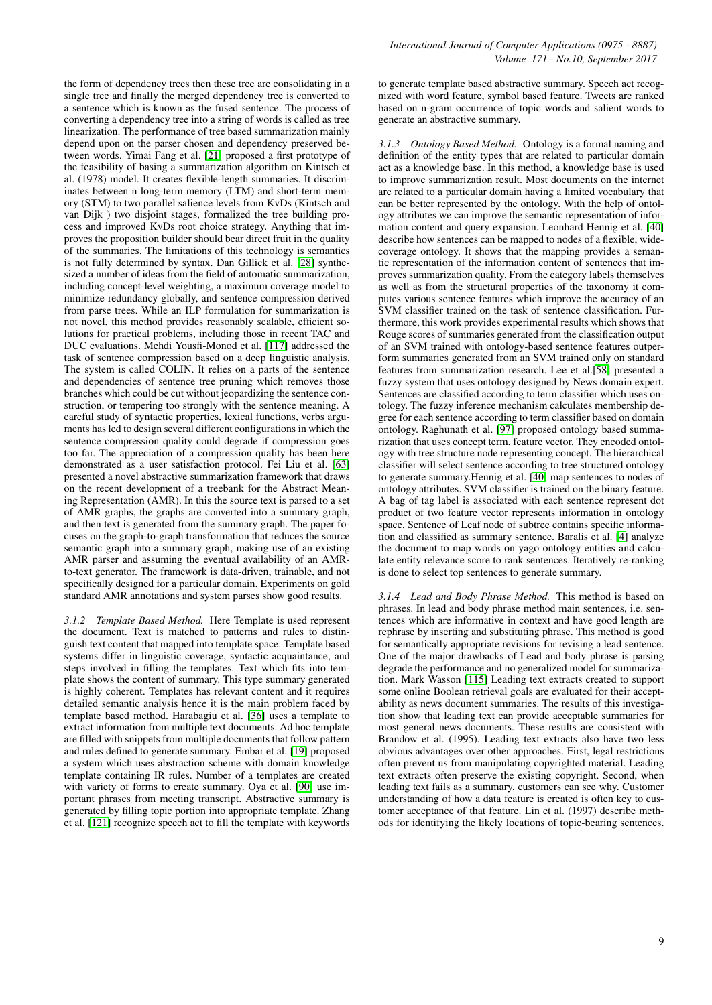the form of dependency trees then these tree are consolidating in a single tree and finally the merged dependency tree is converted to a sentence which is known as the fused sentence. The process of converting a dependency tree into a string of words is called as tree linearization. The performance of tree based summarization mainly depend upon on the parser chosen and dependency preserved between words. Yimai Fang et al. [\[21\]](#page-12-19) proposed a first prototype of the feasibility of basing a summarization algorithm on Kintsch et al. (1978) model. It creates flexible-length summaries. It discriminates between n long-term memory (LTM) and short-term memory (STM) to two parallel salience levels from KvDs (Kintsch and van Dijk ) two disjoint stages, formalized the tree building process and improved KvDs root choice strategy. Anything that improves the proposition builder should bear direct fruit in the quality of the summaries. The limitations of this technology is semantics is not fully determined by syntax. Dan Gillick et al. [\[28\]](#page-12-20) synthesized a number of ideas from the field of automatic summarization, including concept-level weighting, a maximum coverage model to minimize redundancy globally, and sentence compression derived from parse trees. While an ILP formulation for summarization is not novel, this method provides reasonably scalable, efficient solutions for practical problems, including those in recent TAC and DUC evaluations. Mehdi Yousfi-Monod et al. [\[117\]](#page-15-17) addressed the task of sentence compression based on a deep linguistic analysis. The system is called COLIN. It relies on a parts of the sentence and dependencies of sentence tree pruning which removes those branches which could be cut without jeopardizing the sentence construction, or tempering too strongly with the sentence meaning. A careful study of syntactic properties, lexical functions, verbs arguments has led to design several different configurations in which the sentence compression quality could degrade if compression goes too far. The appreciation of a compression quality has been here demonstrated as a user satisfaction protocol. Fei Liu et al. [\[63\]](#page-14-18) presented a novel abstractive summarization framework that draws on the recent development of a treebank for the Abstract Meaning Representation (AMR). In this the source text is parsed to a set of AMR graphs, the graphs are converted into a summary graph, and then text is generated from the summary graph. The paper focuses on the graph-to-graph transformation that reduces the source semantic graph into a summary graph, making use of an existing AMR parser and assuming the eventual availability of an AMRto-text generator. The framework is data-driven, trainable, and not specifically designed for a particular domain. Experiments on gold standard AMR annotations and system parses show good results.

*3.1.2 Template Based Method.* Here Template is used represent the document. Text is matched to patterns and rules to distinguish text content that mapped into template space. Template based systems differ in linguistic coverage, syntactic acquaintance, and steps involved in filling the templates. Text which fits into template shows the content of summary. This type summary generated is highly coherent. Templates has relevant content and it requires detailed semantic analysis hence it is the main problem faced by template based method. Harabagiu et al. [\[36\]](#page-13-22) uses a template to extract information from multiple text documents. Ad hoc template are filled with snippets from multiple documents that follow pattern and rules defined to generate summary. Embar et al. [\[19\]](#page-12-21) proposed a system which uses abstraction scheme with domain knowledge template containing IR rules. Number of a templates are created with variety of forms to create summary. Oya et al. [\[90\]](#page-15-18) use important phrases from meeting transcript. Abstractive summary is generated by filling topic portion into appropriate template. Zhang et al. [\[121\]](#page-16-3) recognize speech act to fill the template with keywords

to generate template based abstractive summary. Speech act recognized with word feature, symbol based feature. Tweets are ranked based on n-gram occurrence of topic words and salient words to generate an abstractive summary.

*3.1.3 Ontology Based Method.* Ontology is a formal naming and definition of the entity types that are related to particular domain act as a knowledge base. In this method, a knowledge base is used to improve summarization result. Most documents on the internet are related to a particular domain having a limited vocabulary that can be better represented by the ontology. With the help of ontology attributes we can improve the semantic representation of information content and query expansion. Leonhard Hennig et al. [\[40\]](#page-13-23) describe how sentences can be mapped to nodes of a flexible, widecoverage ontology. It shows that the mapping provides a semantic representation of the information content of sentences that improves summarization quality. From the category labels themselves as well as from the structural properties of the taxonomy it computes various sentence features which improve the accuracy of an SVM classifier trained on the task of sentence classification. Furthermore, this work provides experimental results which shows that Rouge scores of summaries generated from the classification output of an SVM trained with ontology-based sentence features outperform summaries generated from an SVM trained only on standard features from summarization research. Lee et al.[\[58\]](#page-13-24) presented a fuzzy system that uses ontology designed by News domain expert. Sentences are classified according to term classifier which uses ontology. The fuzzy inference mechanism calculates membership degree for each sentence according to term classifier based on domain ontology. Raghunath et al. [\[97\]](#page-15-19) proposed ontology based summarization that uses concept term, feature vector. They encoded ontology with tree structure node representing concept. The hierarchical classifier will select sentence according to tree structured ontology to generate summary.Hennig et al. [\[40\]](#page-13-23) map sentences to nodes of ontology attributes. SVM classifier is trained on the binary feature. A bag of tag label is associated with each sentence represent dot product of two feature vector represents information in ontology space. Sentence of Leaf node of subtree contains specific information and classified as summary sentence. Baralis et al. [\[4\]](#page-12-22) analyze the document to map words on yago ontology entities and calculate entity relevance score to rank sentences. Iteratively re-ranking is done to select top sentences to generate summary.

*3.1.4 Lead and Body Phrase Method.* This method is based on phrases. In lead and body phrase method main sentences, i.e. sentences which are informative in context and have good length are rephrase by inserting and substituting phrase. This method is good for semantically appropriate revisions for revising a lead sentence. One of the major drawbacks of Lead and body phrase is parsing degrade the performance and no generalized model for summarization. Mark Wasson [\[115\]](#page-15-20) Leading text extracts created to support some online Boolean retrieval goals are evaluated for their acceptability as news document summaries. The results of this investigation show that leading text can provide acceptable summaries for most general news documents. These results are consistent with Brandow et al. (1995). Leading text extracts also have two less obvious advantages over other approaches. First, legal restrictions often prevent us from manipulating copyrighted material. Leading text extracts often preserve the existing copyright. Second, when leading text fails as a summary, customers can see why. Customer understanding of how a data feature is created is often key to customer acceptance of that feature. Lin et al. (1997) describe methods for identifying the likely locations of topic-bearing sentences.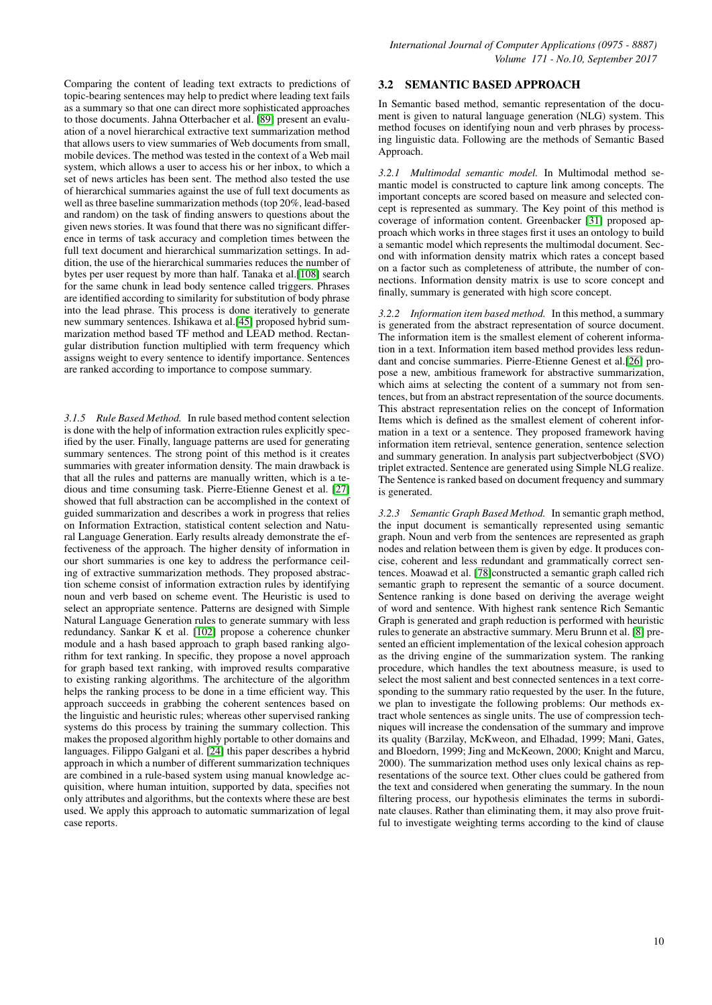Comparing the content of leading text extracts to predictions of topic-bearing sentences may help to predict where leading text fails as a summary so that one can direct more sophisticated approaches to those documents. Jahna Otterbacher et al. [\[89\]](#page-14-19) present an evaluation of a novel hierarchical extractive text summarization method that allows users to view summaries of Web documents from small, mobile devices. The method was tested in the context of a Web mail system, which allows a user to access his or her inbox, to which a set of news articles has been sent. The method also tested the use of hierarchical summaries against the use of full text documents as well as three baseline summarization methods (top 20%, lead-based and random) on the task of finding answers to questions about the given news stories. It was found that there was no significant difference in terms of task accuracy and completion times between the full text document and hierarchical summarization settings. In addition, the use of the hierarchical summaries reduces the number of bytes per user request by more than half. Tanaka et al.[\[108\]](#page-15-21) search for the same chunk in lead body sentence called triggers. Phrases are identified according to similarity for substitution of body phrase into the lead phrase. This process is done iteratively to generate new summary sentences. Ishikawa et al.[\[45\]](#page-13-25) proposed hybrid summarization method based TF method and LEAD method. Rectangular distribution function multiplied with term frequency which assigns weight to every sentence to identify importance. Sentences are ranked according to importance to compose summary.

*3.1.5 Rule Based Method.* In rule based method content selection is done with the help of information extraction rules explicitly specified by the user. Finally, language patterns are used for generating summary sentences. The strong point of this method is it creates summaries with greater information density. The main drawback is that all the rules and patterns are manually written, which is a tedious and time consuming task. Pierre-Etienne Genest et al. [\[27\]](#page-12-23) showed that full abstraction can be accomplished in the context of guided summarization and describes a work in progress that relies on Information Extraction, statistical content selection and Natural Language Generation. Early results already demonstrate the effectiveness of the approach. The higher density of information in our short summaries is one key to address the performance ceiling of extractive summarization methods. They proposed abstraction scheme consist of information extraction rules by identifying noun and verb based on scheme event. The Heuristic is used to select an appropriate sentence. Patterns are designed with Simple Natural Language Generation rules to generate summary with less redundancy. Sankar K et al. [\[102\]](#page-15-22) propose a coherence chunker module and a hash based approach to graph based ranking algorithm for text ranking. In specific, they propose a novel approach for graph based text ranking, with improved results comparative to existing ranking algorithms. The architecture of the algorithm helps the ranking process to be done in a time efficient way. This approach succeeds in grabbing the coherent sentences based on the linguistic and heuristic rules; whereas other supervised ranking systems do this process by training the summary collection. This makes the proposed algorithm highly portable to other domains and languages. Filippo Galgani et al. [\[24\]](#page-12-24) this paper describes a hybrid approach in which a number of different summarization techniques are combined in a rule-based system using manual knowledge acquisition, where human intuition, supported by data, specifies not only attributes and algorithms, but the contexts where these are best used. We apply this approach to automatic summarization of legal case reports.

# 3.2 SEMANTIC BASED APPROACH

In Semantic based method, semantic representation of the document is given to natural language generation (NLG) system. This method focuses on identifying noun and verb phrases by processing linguistic data. Following are the methods of Semantic Based Approach.

*3.2.1 Multimodal semantic model.* In Multimodal method semantic model is constructed to capture link among concepts. The important concepts are scored based on measure and selected concept is represented as summary. The Key point of this method is coverage of information content. Greenbacker [\[31\]](#page-13-26) proposed approach which works in three stages first it uses an ontology to build a semantic model which represents the multimodal document. Second with information density matrix which rates a concept based on a factor such as completeness of attribute, the number of connections. Information density matrix is use to score concept and finally, summary is generated with high score concept.

*3.2.2 Information item based method.* In this method, a summary is generated from the abstract representation of source document. The information item is the smallest element of coherent information in a text. Information item based method provides less redundant and concise summaries. Pierre-Etienne Genest et al.[\[26\]](#page-12-25) propose a new, ambitious framework for abstractive summarization, which aims at selecting the content of a summary not from sentences, but from an abstract representation of the source documents. This abstract representation relies on the concept of Information Items which is defined as the smallest element of coherent information in a text or a sentence. They proposed framework having information item retrieval, sentence generation, sentence selection and summary generation. In analysis part subjectverbobject (SVO) triplet extracted. Sentence are generated using Simple NLG realize. The Sentence is ranked based on document frequency and summary is generated.

*3.2.3 Semantic Graph Based Method.* In semantic graph method, the input document is semantically represented using semantic graph. Noun and verb from the sentences are represented as graph nodes and relation between them is given by edge. It produces concise, coherent and less redundant and grammatically correct sentences. Moawad et al. [\[78\]](#page-14-20)constructed a semantic graph called rich semantic graph to represent the semantic of a source document. Sentence ranking is done based on deriving the average weight of word and sentence. With highest rank sentence Rich Semantic Graph is generated and graph reduction is performed with heuristic rules to generate an abstractive summary. Meru Brunn et al. [\[8\]](#page-12-26) presented an efficient implementation of the lexical cohesion approach as the driving engine of the summarization system. The ranking procedure, which handles the text aboutness measure, is used to select the most salient and best connected sentences in a text corresponding to the summary ratio requested by the user. In the future, we plan to investigate the following problems: Our methods extract whole sentences as single units. The use of compression techniques will increase the condensation of the summary and improve its quality (Barzilay, McKweon, and Elhadad, 1999; Mani, Gates, and Bloedorn, 1999; Jing and McKeown, 2000; Knight and Marcu, 2000). The summarization method uses only lexical chains as representations of the source text. Other clues could be gathered from the text and considered when generating the summary. In the noun filtering process, our hypothesis eliminates the terms in subordinate clauses. Rather than eliminating them, it may also prove fruitful to investigate weighting terms according to the kind of clause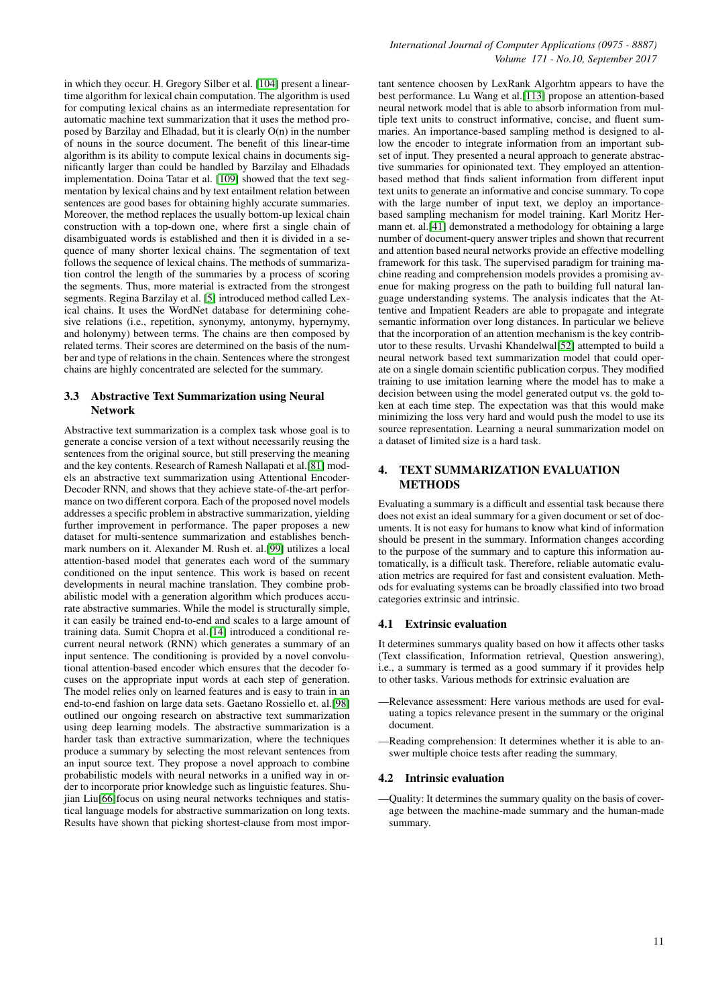in which they occur. H. Gregory Silber et al. [\[104\]](#page-15-23) present a lineartime algorithm for lexical chain computation. The algorithm is used for computing lexical chains as an intermediate representation for automatic machine text summarization that it uses the method proposed by Barzilay and Elhadad, but it is clearly O(n) in the number of nouns in the source document. The benefit of this linear-time algorithm is its ability to compute lexical chains in documents significantly larger than could be handled by Barzilay and Elhadads implementation. Doina Tatar et al. [\[109\]](#page-15-24) showed that the text segmentation by lexical chains and by text entailment relation between sentences are good bases for obtaining highly accurate summaries. Moreover, the method replaces the usually bottom-up lexical chain construction with a top-down one, where first a single chain of disambiguated words is established and then it is divided in a sequence of many shorter lexical chains. The segmentation of text follows the sequence of lexical chains. The methods of summarization control the length of the summaries by a process of scoring the segments. Thus, more material is extracted from the strongest segments. Regina Barzilay et al. [\[5\]](#page-12-27) introduced method called Lexical chains. It uses the WordNet database for determining cohesive relations (i.e., repetition, synonymy, antonymy, hypernymy, and holonymy) between terms. The chains are then composed by related terms. Their scores are determined on the basis of the number and type of relations in the chain. Sentences where the strongest chains are highly concentrated are selected for the summary.

# 3.3 Abstractive Text Summarization using Neural Network

Abstractive text summarization is a complex task whose goal is to generate a concise version of a text without necessarily reusing the sentences from the original source, but still preserving the meaning and the key contents. Research of Ramesh Nallapati et al.[\[81\]](#page-14-21) models an abstractive text summarization using Attentional Encoder-Decoder RNN, and shows that they achieve state-of-the-art performance on two different corpora. Each of the proposed novel models addresses a specific problem in abstractive summarization, yielding further improvement in performance. The paper proposes a new dataset for multi-sentence summarization and establishes benchmark numbers on it. Alexander M. Rush et. al.[\[99\]](#page-15-25) utilizes a local attention-based model that generates each word of the summary conditioned on the input sentence. This work is based on recent developments in neural machine translation. They combine probabilistic model with a generation algorithm which produces accurate abstractive summaries. While the model is structurally simple, it can easily be trained end-to-end and scales to a large amount of training data. Sumit Chopra et al.[\[14\]](#page-12-28) introduced a conditional recurrent neural network (RNN) which generates a summary of an input sentence. The conditioning is provided by a novel convolutional attention-based encoder which ensures that the decoder focuses on the appropriate input words at each step of generation. The model relies only on learned features and is easy to train in an end-to-end fashion on large data sets. Gaetano Rossiello et. al.[\[98\]](#page-15-26) outlined our ongoing research on abstractive text summarization using deep learning models. The abstractive summarization is a harder task than extractive summarization, where the techniques produce a summary by selecting the most relevant sentences from an input source text. They propose a novel approach to combine probabilistic models with neural networks in a unified way in order to incorporate prior knowledge such as linguistic features. Shujian Liu[\[66\]](#page-14-22)focus on using neural networks techniques and statistical language models for abstractive summarization on long texts. Results have shown that picking shortest-clause from most important sentence choosen by LexRank Algorhtm appears to have the best performance. Lu Wang et al.[\[113\]](#page-15-27) propose an attention-based neural network model that is able to absorb information from multiple text units to construct informative, concise, and fluent summaries. An importance-based sampling method is designed to allow the encoder to integrate information from an important subset of input. They presented a neural approach to generate abstractive summaries for opinionated text. They employed an attentionbased method that finds salient information from different input text units to generate an informative and concise summary. To cope with the large number of input text, we deploy an importancebased sampling mechanism for model training. Karl Moritz Hermann et. al.[\[41\]](#page-13-27) demonstrated a methodology for obtaining a large number of document-query answer triples and shown that recurrent and attention based neural networks provide an effective modelling framework for this task. The supervised paradigm for training machine reading and comprehension models provides a promising avenue for making progress on the path to building full natural language understanding systems. The analysis indicates that the Attentive and Impatient Readers are able to propagate and integrate semantic information over long distances. In particular we believe that the incorporation of an attention mechanism is the key contributor to these results. Urvashi Khandelwal[\[52\]](#page-13-28) attempted to build a neural network based text summarization model that could operate on a single domain scientific publication corpus. They modified training to use imitation learning where the model has to make a decision between using the model generated output vs. the gold token at each time step. The expectation was that this would make minimizing the loss very hard and would push the model to use its source representation. Learning a neural summarization model on a dataset of limited size is a hard task.

# 4. TEXT SUMMARIZATION EVALUATION METHODS

Evaluating a summary is a difficult and essential task because there does not exist an ideal summary for a given document or set of documents. It is not easy for humans to know what kind of information should be present in the summary. Information changes according to the purpose of the summary and to capture this information automatically, is a difficult task. Therefore, reliable automatic evaluation metrics are required for fast and consistent evaluation. Methods for evaluating systems can be broadly classified into two broad categories extrinsic and intrinsic.

# 4.1 Extrinsic evaluation

It determines summarys quality based on how it affects other tasks (Text classification, Information retrieval, Question answering), i.e., a summary is termed as a good summary if it provides help to other tasks. Various methods for extrinsic evaluation are

- —Relevance assessment: Here various methods are used for evaluating a topics relevance present in the summary or the original document.
- —Reading comprehension: It determines whether it is able to answer multiple choice tests after reading the summary.

## 4.2 Intrinsic evaluation

—Quality: It determines the summary quality on the basis of coverage between the machine-made summary and the human-made summary.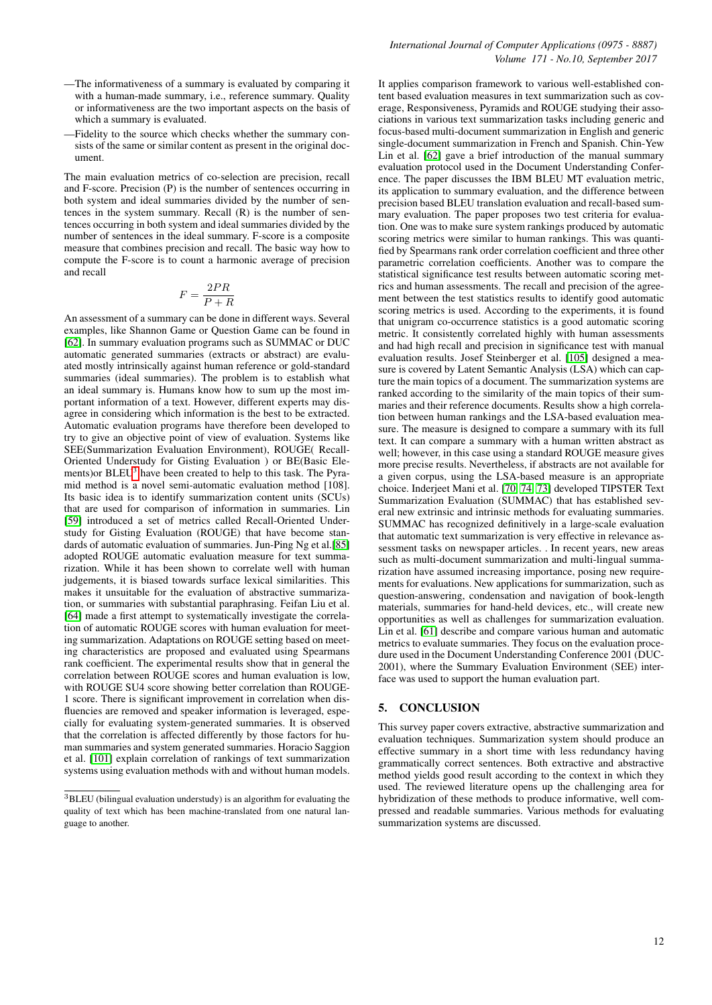- —The informativeness of a summary is evaluated by comparing it with a human-made summary, i.e., reference summary. Quality or informativeness are the two important aspects on the basis of which a summary is evaluated.
- —Fidelity to the source which checks whether the summary consists of the same or similar content as present in the original document.

The main evaluation metrics of co-selection are precision, recall and F-score. Precision (P) is the number of sentences occurring in both system and ideal summaries divided by the number of sentences in the system summary. Recall (R) is the number of sentences occurring in both system and ideal summaries divided by the number of sentences in the ideal summary. F-score is a composite measure that combines precision and recall. The basic way how to compute the F-score is to count a harmonic average of precision and recall

$$
F = \frac{2PR}{P + R}
$$

An assessment of a summary can be done in different ways. Several examples, like Shannon Game or Question Game can be found in [\[62\]](#page-14-23). In summary evaluation programs such as SUMMAC or DUC automatic generated summaries (extracts or abstract) are evaluated mostly intrinsically against human reference or gold-standard summaries (ideal summaries). The problem is to establish what an ideal summary is. Humans know how to sum up the most important information of a text. However, different experts may disagree in considering which information is the best to be extracted. Automatic evaluation programs have therefore been developed to try to give an objective point of view of evaluation. Systems like SEE(Summarization Evaluation Environment), ROUGE( Recall-Oriented Understudy for Gisting Evaluation ) or BE(Basic Elements)or BLEU[3](#page-11-0) have been created to help to this task. The Pyramid method is a novel semi-automatic evaluation method [108]. Its basic idea is to identify summarization content units (SCUs) that are used for comparison of information in summaries. Lin [\[59\]](#page-14-24) introduced a set of metrics called Recall-Oriented Understudy for Gisting Evaluation (ROUGE) that have become standards of automatic evaluation of summaries. Jun-Ping Ng et al.[\[85\]](#page-14-25) adopted ROUGE automatic evaluation measure for text summarization. While it has been shown to correlate well with human judgements, it is biased towards surface lexical similarities. This makes it unsuitable for the evaluation of abstractive summarization, or summaries with substantial paraphrasing. Feifan Liu et al. [\[64\]](#page-14-26) made a first attempt to systematically investigate the correlation of automatic ROUGE scores with human evaluation for meeting summarization. Adaptations on ROUGE setting based on meeting characteristics are proposed and evaluated using Spearmans rank coefficient. The experimental results show that in general the correlation between ROUGE scores and human evaluation is low, with ROUGE SU4 score showing better correlation than ROUGE-1 score. There is significant improvement in correlation when disfluencies are removed and speaker information is leveraged, especially for evaluating system-generated summaries. It is observed that the correlation is affected differently by those factors for human summaries and system generated summaries. Horacio Saggion et al. [\[101\]](#page-15-28) explain correlation of rankings of text summarization systems using evaluation methods with and without human models.

It applies comparison framework to various well-established content based evaluation measures in text summarization such as coverage, Responsiveness, Pyramids and ROUGE studying their associations in various text summarization tasks including generic and focus-based multi-document summarization in English and generic single-document summarization in French and Spanish. Chin-Yew Lin et al. [\[62\]](#page-14-23) gave a brief introduction of the manual summary evaluation protocol used in the Document Understanding Conference. The paper discusses the IBM BLEU MT evaluation metric, its application to summary evaluation, and the difference between precision based BLEU translation evaluation and recall-based summary evaluation. The paper proposes two test criteria for evaluation. One was to make sure system rankings produced by automatic scoring metrics were similar to human rankings. This was quantified by Spearmans rank order correlation coefficient and three other parametric correlation coefficients. Another was to compare the statistical significance test results between automatic scoring metrics and human assessments. The recall and precision of the agreement between the test statistics results to identify good automatic scoring metrics is used. According to the experiments, it is found that unigram co-occurrence statistics is a good automatic scoring metric. It consistently correlated highly with human assessments and had high recall and precision in significance test with manual evaluation results. Josef Steinberger et al. [\[105\]](#page-15-6) designed a measure is covered by Latent Semantic Analysis (LSA) which can capture the main topics of a document. The summarization systems are ranked according to the similarity of the main topics of their summaries and their reference documents. Results show a high correlation between human rankings and the LSA-based evaluation measure. The measure is designed to compare a summary with its full text. It can compare a summary with a human written abstract as well; however, in this case using a standard ROUGE measure gives more precise results. Nevertheless, if abstracts are not available for a given corpus, using the LSA-based measure is an appropriate choice. Inderjeet Mani et al. [\[70,](#page-14-27) [74,](#page-14-28) [73\]](#page-14-29) developed TIPSTER Text Summarization Evaluation (SUMMAC) that has established several new extrinsic and intrinsic methods for evaluating summaries. SUMMAC has recognized definitively in a large-scale evaluation that automatic text summarization is very effective in relevance assessment tasks on newspaper articles. . In recent years, new areas such as multi-document summarization and multi-lingual summarization have assumed increasing importance, posing new requirements for evaluations. New applications for summarization, such as question-answering, condensation and navigation of book-length materials, summaries for hand-held devices, etc., will create new opportunities as well as challenges for summarization evaluation. Lin et al. [\[61\]](#page-14-30) describe and compare various human and automatic metrics to evaluate summaries. They focus on the evaluation procedure used in the Document Understanding Conference 2001 (DUC-2001), where the Summary Evaluation Environment (SEE) interface was used to support the human evaluation part.

# 5. CONCLUSION

This survey paper covers extractive, abstractive summarization and evaluation techniques. Summarization system should produce an effective summary in a short time with less redundancy having grammatically correct sentences. Both extractive and abstractive method yields good result according to the context in which they used. The reviewed literature opens up the challenging area for hybridization of these methods to produce informative, well compressed and readable summaries. Various methods for evaluating summarization systems are discussed.

<span id="page-11-0"></span><sup>3</sup>BLEU (bilingual evaluation understudy) is an algorithm for evaluating the quality of text which has been machine-translated from one natural language to another.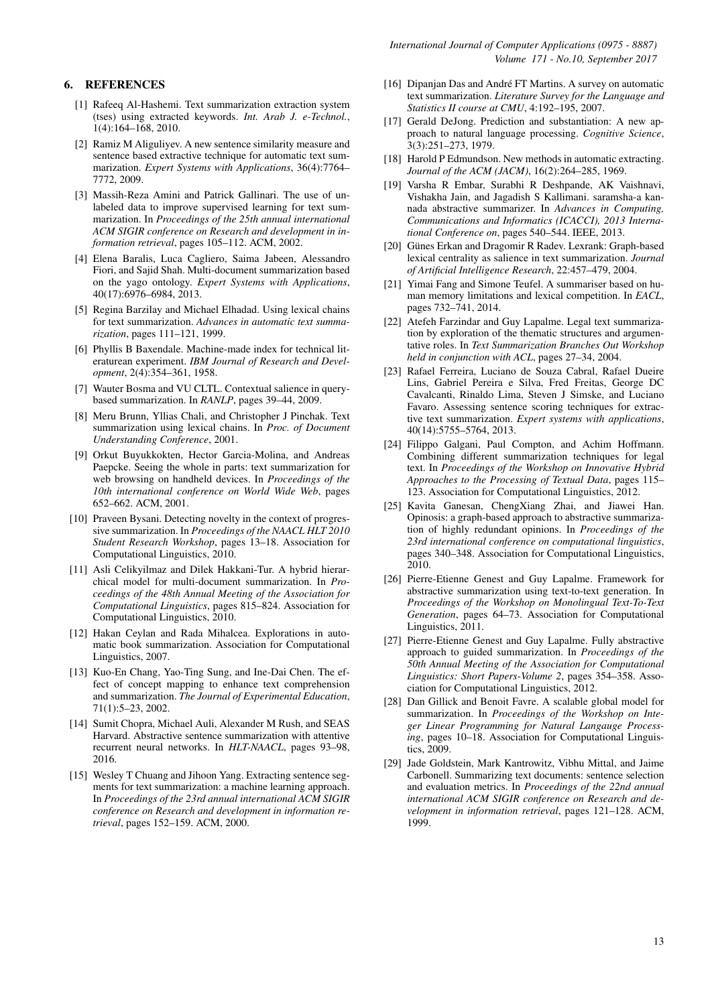# 6. REFERENCES

- <span id="page-12-5"></span>[1] Rafeeq Al-Hashemi. Text summarization extraction system (tses) using extracted keywords. *Int. Arab J. e-Technol.*, 1(4):164–168, 2010.
- <span id="page-12-7"></span>[2] Ramiz M Aliguliyev. A new sentence similarity measure and sentence based extractive technique for automatic text summarization. *Expert Systems with Applications*, 36(4):7764– 7772, 2009.
- <span id="page-12-17"></span>[3] Massih-Reza Amini and Patrick Gallinari. The use of unlabeled data to improve supervised learning for text summarization. In *Proceedings of the 25th annual international ACM SIGIR conference on Research and development in information retrieval*, pages 105–112. ACM, 2002.
- <span id="page-12-22"></span>[4] Elena Baralis, Luca Cagliero, Saima Jabeen, Alessandro Fiori, and Sajid Shah. Multi-document summarization based on the yago ontology. *Expert Systems with Applications*, 40(17):6976–6984, 2013.
- <span id="page-12-27"></span>[5] Regina Barzilay and Michael Elhadad. Using lexical chains for text summarization. *Advances in automatic text summarization*, pages 111–121, 1999.
- <span id="page-12-12"></span>[6] Phyllis B Baxendale. Machine-made index for technical literaturean experiment. *IBM Journal of Research and Development*, 2(4):354–361, 1958.
- <span id="page-12-8"></span>[7] Wauter Bosma and VU CLTL. Contextual salience in querybased summarization. In *RANLP*, pages 39–44, 2009.
- <span id="page-12-26"></span>[8] Meru Brunn, Yllias Chali, and Christopher J Pinchak. Text summarization using lexical chains. In *Proc. of Document Understanding Conference*, 2001.
- <span id="page-12-4"></span>[9] Orkut Buyukkokten, Hector Garcia-Molina, and Andreas Paepcke. Seeing the whole in parts: text summarization for web browsing on handheld devices. In *Proceedings of the 10th international conference on World Wide Web*, pages 652–662. ACM, 2001.
- <span id="page-12-2"></span>[10] Praveen Bysani. Detecting novelty in the context of progressive summarization. In *Proceedings of the NAACL HLT 2010 Student Research Workshop*, pages 13–18. Association for Computational Linguistics, 2010.
- <span id="page-12-16"></span>[11] Asli Celikyilmaz and Dilek Hakkani-Tur. A hybrid hierarchical model for multi-document summarization. In *Proceedings of the 48th Annual Meeting of the Association for Computational Linguistics*, pages 815–824. Association for Computational Linguistics, 2010.
- <span id="page-12-6"></span>[12] Hakan Ceylan and Rada Mihalcea. Explorations in automatic book summarization. Association for Computational Linguistics, 2007.
- <span id="page-12-15"></span>[13] Kuo-En Chang, Yao-Ting Sung, and Ine-Dai Chen. The effect of concept mapping to enhance text comprehension and summarization. *The Journal of Experimental Education*, 71(1):5–23, 2002.
- <span id="page-12-28"></span>[14] Sumit Chopra, Michael Auli, Alexander M Rush, and SEAS Harvard. Abstractive sentence summarization with attentive recurrent neural networks. In *HLT-NAACL*, pages 93–98, 2016.
- <span id="page-12-18"></span>[15] Wesley T Chuang and Jihoon Yang. Extracting sentence segments for text summarization: a machine learning approach. In *Proceedings of the 23rd annual international ACM SIGIR conference on Research and development in information retrieval*, pages 152–159. ACM, 2000.
- <span id="page-12-11"></span>[16] Dipanjan Das and André FT Martins. A survey on automatic text summarization. *Literature Survey for the Language and Statistics II course at CMU*, 4:192–195, 2007.
- <span id="page-12-13"></span>[17] Gerald DeJong. Prediction and substantiation: A new approach to natural language processing. *Cognitive Science*, 3(3):251–273, 1979.
- <span id="page-12-0"></span>[18] Harold P Edmundson. New methods in automatic extracting. *Journal of the ACM (JACM)*, 16(2):264–285, 1969.
- <span id="page-12-21"></span>[19] Varsha R Embar, Surabhi R Deshpande, AK Vaishnavi, Vishakha Jain, and Jagadish S Kallimani. saramsha-a kannada abstractive summarizer. In *Advances in Computing, Communications and Informatics (ICACCI), 2013 International Conference on*, pages 540–544. IEEE, 2013.
- <span id="page-12-9"></span>[20] Günes Erkan and Dragomir R Radev. Lexrank: Graph-based lexical centrality as salience in text summarization. *Journal of Artificial Intelligence Research*, 22:457–479, 2004.
- <span id="page-12-19"></span>[21] Yimai Fang and Simone Teufel. A summariser based on human memory limitations and lexical competition. In *EACL*, pages 732–741, 2014.
- <span id="page-12-3"></span>[22] Atefeh Farzindar and Guy Lapalme. Legal text summarization by exploration of the thematic structures and argumentative roles. In *Text Summarization Branches Out Workshop held in conjunction with ACL*, pages 27–34, 2004.
- <span id="page-12-1"></span>[23] Rafael Ferreira, Luciano de Souza Cabral, Rafael Dueire Lins, Gabriel Pereira e Silva, Fred Freitas, George DC Cavalcanti, Rinaldo Lima, Steven J Simske, and Luciano Favaro. Assessing sentence scoring techniques for extractive text summarization. *Expert systems with applications*, 40(14):5755–5764, 2013.
- <span id="page-12-24"></span>[24] Filippo Galgani, Paul Compton, and Achim Hoffmann. Combining different summarization techniques for legal text. In *Proceedings of the Workshop on Innovative Hybrid Approaches to the Processing of Textual Data*, pages 115– 123. Association for Computational Linguistics, 2012.
- <span id="page-12-10"></span>[25] Kavita Ganesan, ChengXiang Zhai, and Jiawei Han. Opinosis: a graph-based approach to abstractive summarization of highly redundant opinions. In *Proceedings of the 23rd international conference on computational linguistics*, pages 340–348. Association for Computational Linguistics, 2010.
- <span id="page-12-25"></span>[26] Pierre-Etienne Genest and Guy Lapalme. Framework for abstractive summarization using text-to-text generation. In *Proceedings of the Workshop on Monolingual Text-To-Text Generation*, pages 64–73. Association for Computational Linguistics, 2011.
- <span id="page-12-23"></span>[27] Pierre-Etienne Genest and Guy Lapalme. Fully abstractive approach to guided summarization. In *Proceedings of the 50th Annual Meeting of the Association for Computational Linguistics: Short Papers-Volume 2*, pages 354–358. Association for Computational Linguistics, 2012.
- <span id="page-12-20"></span>[28] Dan Gillick and Benoit Favre. A scalable global model for summarization. In *Proceedings of the Workshop on Integer Linear Programming for Natural Langauge Processing*, pages 10–18. Association for Computational Linguistics, 2009.
- <span id="page-12-14"></span>[29] Jade Goldstein, Mark Kantrowitz, Vibhu Mittal, and Jaime Carbonell. Summarizing text documents: sentence selection and evaluation metrics. In *Proceedings of the 22nd annual international ACM SIGIR conference on Research and development in information retrieval*, pages 121–128. ACM, 1999.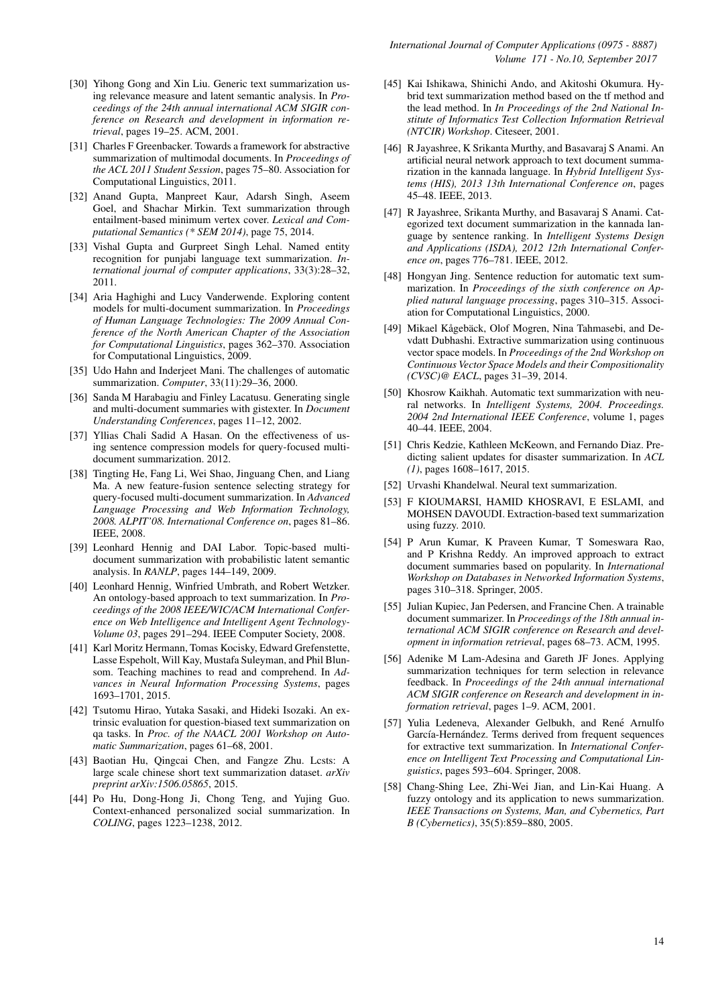- <span id="page-13-13"></span>[30] Yihong Gong and Xin Liu. Generic text summarization using relevance measure and latent semantic analysis. In *Proceedings of the 24th annual international ACM SIGIR conference on Research and development in information retrieval*, pages 19–25. ACM, 2001.
- <span id="page-13-26"></span>[31] Charles F Greenbacker. Towards a framework for abstractive summarization of multimodal documents. In *Proceedings of the ACL 2011 Student Session*, pages 75–80. Association for Computational Linguistics, 2011.
- <span id="page-13-10"></span>[32] Anand Gupta, Manpreet Kaur, Adarsh Singh, Aseem Goel, and Shachar Mirkin. Text summarization through entailment-based minimum vertex cover. *Lexical and Computational Semantics (\* SEM 2014)*, page 75, 2014.
- <span id="page-13-15"></span>[33] Vishal Gupta and Gurpreet Singh Lehal. Named entity recognition for punjabi language text summarization. *International journal of computer applications*, 33(3):28–32, 2011.
- <span id="page-13-17"></span>[34] Aria Haghighi and Lucy Vanderwende. Exploring content models for multi-document summarization. In *Proceedings of Human Language Technologies: The 2009 Annual Conference of the North American Chapter of the Association for Computational Linguistics*, pages 362–370. Association for Computational Linguistics, 2009.
- <span id="page-13-0"></span>[35] Udo Hahn and Inderjeet Mani. The challenges of automatic summarization. *Computer*, 33(11):29–36, 2000.
- <span id="page-13-22"></span>[36] Sanda M Harabagiu and Finley Lacatusu. Generating single and multi-document summaries with gistexter. In *Document Understanding Conferences*, pages 11–12, 2002.
- <span id="page-13-20"></span>[37] Yllias Chali Sadid A Hasan. On the effectiveness of using sentence compression models for query-focused multidocument summarization. 2012.
- <span id="page-13-18"></span>[38] Tingting He, Fang Li, Wei Shao, Jinguang Chen, and Liang Ma. A new feature-fusion sentence selecting strategy for query-focused multi-document summarization. In *Advanced Language Processing and Web Information Technology, 2008. ALPIT'08. International Conference on*, pages 81–86. IEEE, 2008.
- <span id="page-13-12"></span>[39] Leonhard Hennig and DAI Labor. Topic-based multidocument summarization with probabilistic latent semantic analysis. In *RANLP*, pages 144–149, 2009.
- <span id="page-13-23"></span>[40] Leonhard Hennig, Winfried Umbrath, and Robert Wetzker. An ontology-based approach to text summarization. In *Proceedings of the 2008 IEEE/WIC/ACM International Conference on Web Intelligence and Intelligent Agent Technology-Volume 03*, pages 291–294. IEEE Computer Society, 2008.
- <span id="page-13-27"></span>[41] Karl Moritz Hermann, Tomas Kocisky, Edward Grefenstette, Lasse Espeholt, Will Kay, Mustafa Suleyman, and Phil Blunsom. Teaching machines to read and comprehend. In *Advances in Neural Information Processing Systems*, pages 1693–1701, 2015.
- <span id="page-13-21"></span>[42] Tsutomu Hirao, Yutaka Sasaki, and Hideki Isozaki. An extrinsic evaluation for question-biased text summarization on qa tasks. In *Proc. of the NAACL 2001 Workshop on Automatic Summarization*, pages 61–68, 2001.
- <span id="page-13-6"></span>[43] Baotian Hu, Qingcai Chen, and Fangze Zhu. Lcsts: A large scale chinese short text summarization dataset. *arXiv preprint arXiv:1506.05865*, 2015.
- <span id="page-13-9"></span>[44] Po Hu, Dong-Hong Ji, Chong Teng, and Yujing Guo. Context-enhanced personalized social summarization. In *COLING*, pages 1223–1238, 2012.
- <span id="page-13-25"></span>[45] Kai Ishikawa, Shinichi Ando, and Akitoshi Okumura. Hybrid text summarization method based on the tf method and the lead method. In *In Proceedings of the 2nd National Institute of Informatics Test Collection Information Retrieval (NTCIR) Workshop*. Citeseer, 2001.
- <span id="page-13-7"></span>[46] R Jayashree, K Srikanta Murthy, and Basavaraj S Anami. An artificial neural network approach to text document summarization in the kannada language. In *Hybrid Intelligent Systems (HIS), 2013 13th International Conference on*, pages 45–48. IEEE, 2013.
- <span id="page-13-1"></span>[47] R Jayashree, Srikanta Murthy, and Basavaraj S Anami. Categorized text document summarization in the kannada language by sentence ranking. In *Intelligent Systems Design and Applications (ISDA), 2012 12th International Conference on*, pages 776–781. IEEE, 2012.
- <span id="page-13-11"></span>[48] Hongyan Jing. Sentence reduction for automatic text summarization. In *Proceedings of the sixth conference on Applied natural language processing*, pages 310–315. Association for Computational Linguistics, 2000.
- <span id="page-13-2"></span>[49] Mikael Kågebäck, Olof Mogren, Nina Tahmasebi, and Devdatt Dubhashi. Extractive summarization using continuous vector space models. In *Proceedings of the 2nd Workshop on Continuous Vector Space Models and their Compositionality (CVSC)@ EACL*, pages 31–39, 2014.
- <span id="page-13-5"></span>[50] Khosrow Kaikhah. Automatic text summarization with neural networks. In *Intelligent Systems, 2004. Proceedings. 2004 2nd International IEEE Conference*, volume 1, pages 40–44. IEEE, 2004.
- <span id="page-13-3"></span>[51] Chris Kedzie, Kathleen McKeown, and Fernando Diaz. Predicting salient updates for disaster summarization. In *ACL (1)*, pages 1608–1617, 2015.
- <span id="page-13-28"></span>[52] Urvashi Khandelwal. Neural text summarization.
- <span id="page-13-8"></span>[53] F KIOUMARSI, HAMID KHOSRAVI, E ESLAMI, and MOHSEN DAVOUDI. Extraction-based text summarization using fuzzy. 2010.
- <span id="page-13-4"></span>[54] P Arun Kumar, K Praveen Kumar, T Someswara Rao, and P Krishna Reddy. An improved approach to extract document summaries based on popularity. In *International Workshop on Databases in Networked Information Systems*, pages 310–318. Springer, 2005.
- <span id="page-13-14"></span>[55] Julian Kupiec, Jan Pedersen, and Francine Chen. A trainable document summarizer. In *Proceedings of the 18th annual international ACM SIGIR conference on Research and development in information retrieval*, pages 68–73. ACM, 1995.
- <span id="page-13-19"></span>[56] Adenike M Lam-Adesina and Gareth JF Jones. Applying summarization techniques for term selection in relevance feedback. In *Proceedings of the 24th annual international ACM SIGIR conference on Research and development in information retrieval*, pages 1–9. ACM, 2001.
- <span id="page-13-16"></span>[57] Yulia Ledeneva, Alexander Gelbukh, and René Arnulfo García-Hernández. Terms derived from frequent sequences for extractive text summarization. In *International Conference on Intelligent Text Processing and Computational Linguistics*, pages 593–604. Springer, 2008.
- <span id="page-13-24"></span>[58] Chang-Shing Lee, Zhi-Wei Jian, and Lin-Kai Huang. A fuzzy ontology and its application to news summarization. *IEEE Transactions on Systems, Man, and Cybernetics, Part B (Cybernetics)*, 35(5):859–880, 2005.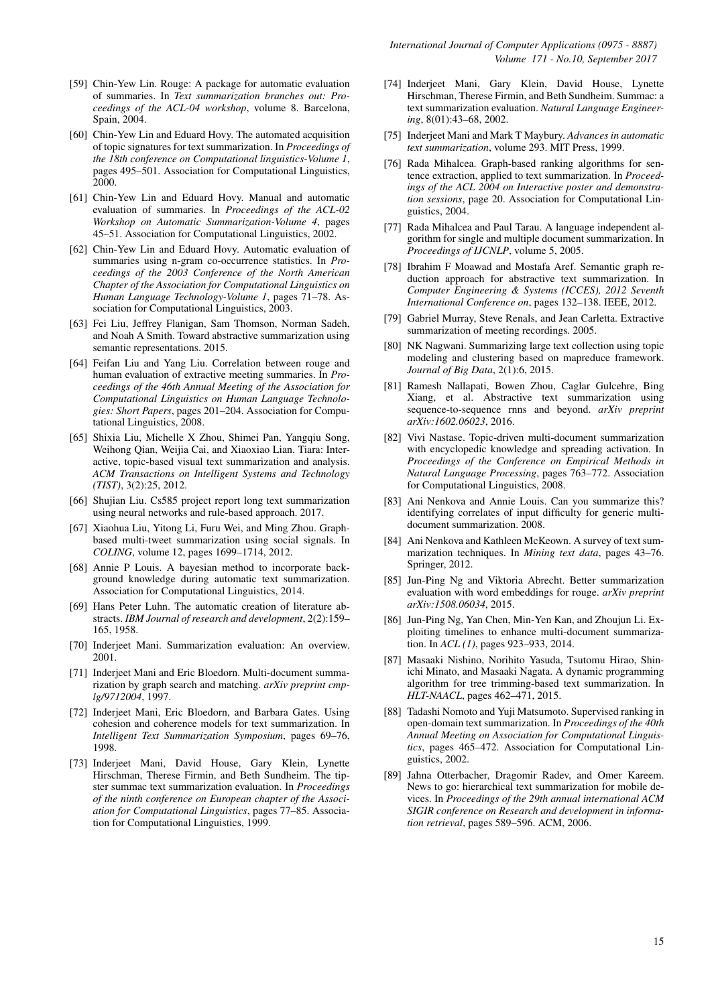- <span id="page-14-24"></span>[59] Chin-Yew Lin. Rouge: A package for automatic evaluation of summaries. In *Text summarization branches out: Proceedings of the ACL-04 workshop*, volume 8. Barcelona, Spain, 2004.
- <span id="page-14-3"></span>[60] Chin-Yew Lin and Eduard Hovy. The automated acquisition of topic signatures for text summarization. In *Proceedings of the 18th conference on Computational linguistics-Volume 1*, pages 495–501. Association for Computational Linguistics, 2000.
- <span id="page-14-30"></span>[61] Chin-Yew Lin and Eduard Hovy. Manual and automatic evaluation of summaries. In *Proceedings of the ACL-02 Workshop on Automatic Summarization-Volume 4*, pages 45–51. Association for Computational Linguistics, 2002.
- <span id="page-14-23"></span>[62] Chin-Yew Lin and Eduard Hovy. Automatic evaluation of summaries using n-gram co-occurrence statistics. In *Proceedings of the 2003 Conference of the North American Chapter of the Association for Computational Linguistics on Human Language Technology-Volume 1*, pages 71–78. Association for Computational Linguistics, 2003.
- <span id="page-14-18"></span>[63] Fei Liu, Jeffrey Flanigan, Sam Thomson, Norman Sadeh, and Noah A Smith. Toward abstractive summarization using semantic representations. 2015.
- <span id="page-14-26"></span>[64] Feifan Liu and Yang Liu. Correlation between rouge and human evaluation of extractive meeting summaries. In *Proceedings of the 46th Annual Meeting of the Association for Computational Linguistics on Human Language Technologies: Short Papers*, pages 201–204. Association for Computational Linguistics, 2008.
- <span id="page-14-12"></span>[65] Shixia Liu, Michelle X Zhou, Shimei Pan, Yangqiu Song, Weihong Qian, Weijia Cai, and Xiaoxiao Lian. Tiara: Interactive, topic-based visual text summarization and analysis. *ACM Transactions on Intelligent Systems and Technology (TIST)*, 3(2):25, 2012.
- <span id="page-14-22"></span>[66] Shujian Liu. Cs585 project report long text summarization using neural networks and rule-based approach. 2017.
- <span id="page-14-10"></span>[67] Xiaohua Liu, Yitong Li, Furu Wei, and Ming Zhou. Graphbased multi-tweet summarization using social signals. In *COLING*, volume 12, pages 1699–1714, 2012.
- <span id="page-14-11"></span>[68] Annie P Louis. A bayesian method to incorporate background knowledge during automatic text summarization. Association for Computational Linguistics, 2014.
- <span id="page-14-2"></span>[69] Hans Peter Luhn. The automatic creation of literature abstracts. *IBM Journal of research and development*, 2(2):159– 165, 1958.
- <span id="page-14-27"></span>[70] Inderjeet Mani. Summarization evaluation: An overview. 2001.
- <span id="page-14-8"></span>[71] Inderjeet Mani and Eric Bloedorn. Multi-document summarization by graph search and matching. *arXiv preprint cmplg/9712004*, 1997.
- <span id="page-14-4"></span>[72] Inderjeet Mani, Eric Bloedorn, and Barbara Gates. Using cohesion and coherence models for text summarization. In *Intelligent Text Summarization Symposium*, pages 69–76, 1998.
- <span id="page-14-29"></span>[73] Inderjeet Mani, David House, Gary Klein, Lynette Hirschman, Therese Firmin, and Beth Sundheim. The tipster summac text summarization evaluation. In *Proceedings of the ninth conference on European chapter of the Association for Computational Linguistics*, pages 77–85. Association for Computational Linguistics, 1999.
- <span id="page-14-28"></span>[74] Inderjeet Mani, Gary Klein, David House, Lynette Hirschman, Therese Firmin, and Beth Sundheim. Summac: a text summarization evaluation. *Natural Language Engineering*, 8(01):43–68, 2002.
- <span id="page-14-0"></span>[75] Inderjeet Mani and Mark T Maybury. *Advances in automatic text summarization*, volume 293. MIT Press, 1999.
- <span id="page-14-7"></span>[76] Rada Mihalcea. Graph-based ranking algorithms for sentence extraction, applied to text summarization. In *Proceedings of the ACL 2004 on Interactive poster and demonstration sessions*, page 20. Association for Computational Linguistics, 2004.
- <span id="page-14-9"></span>[77] Rada Mihalcea and Paul Tarau. A language independent algorithm for single and multiple document summarization. In *Proceedings of IJCNLP*, volume 5, 2005.
- <span id="page-14-20"></span>[78] Ibrahim F Moawad and Mostafa Aref. Semantic graph reduction approach for abstractive text summarization. In *Computer Engineering & Systems (ICCES), 2012 Seventh International Conference on*, pages 132–138. IEEE, 2012.
- <span id="page-14-16"></span>[79] Gabriel Murray, Steve Renals, and Jean Carletta. Extractive summarization of meeting recordings. 2005.
- <span id="page-14-5"></span>[80] NK Nagwani. Summarizing large text collection using topic modeling and clustering based on mapreduce framework. *Journal of Big Data*, 2(1):6, 2015.
- <span id="page-14-21"></span>[81] Ramesh Nallapati, Bowen Zhou, Caglar Gulcehre, Bing Xiang, et al. Abstractive text summarization using sequence-to-sequence rnns and beyond. *arXiv preprint arXiv:1602.06023*, 2016.
- <span id="page-14-17"></span>[82] Vivi Nastase. Topic-driven multi-document summarization with encyclopedic knowledge and spreading activation. In *Proceedings of the Conference on Empirical Methods in Natural Language Processing*, pages 763–772. Association for Computational Linguistics, 2008.
- <span id="page-14-14"></span>[83] Ani Nenkova and Annie Louis. Can you summarize this? identifying correlates of input difficulty for generic multidocument summarization. 2008.
- <span id="page-14-1"></span>[84] Ani Nenkova and Kathleen McKeown. A survey of text summarization techniques. In *Mining text data*, pages 43–76. Springer, 2012.
- <span id="page-14-25"></span>[85] Jun-Ping Ng and Viktoria Abrecht. Better summarization evaluation with word embeddings for rouge. *arXiv preprint arXiv:1508.06034*, 2015.
- <span id="page-14-13"></span>[86] Jun-Ping Ng, Yan Chen, Min-Yen Kan, and Zhoujun Li. Exploiting timelines to enhance multi-document summarization. In *ACL (1)*, pages 923–933, 2014.
- <span id="page-14-6"></span>[87] Masaaki Nishino, Norihito Yasuda, Tsutomu Hirao, Shinichi Minato, and Masaaki Nagata. A dynamic programming algorithm for tree trimming-based text summarization. In *HLT-NAACL*, pages 462–471, 2015.
- <span id="page-14-15"></span>[88] Tadashi Nomoto and Yuji Matsumoto. Supervised ranking in open-domain text summarization. In *Proceedings of the 40th Annual Meeting on Association for Computational Linguistics*, pages 465–472. Association for Computational Linguistics, 2002.
- <span id="page-14-19"></span>[89] Jahna Otterbacher, Dragomir Radev, and Omer Kareem. News to go: hierarchical text summarization for mobile devices. In *Proceedings of the 29th annual international ACM SIGIR conference on Research and development in information retrieval*, pages 589–596. ACM, 2006.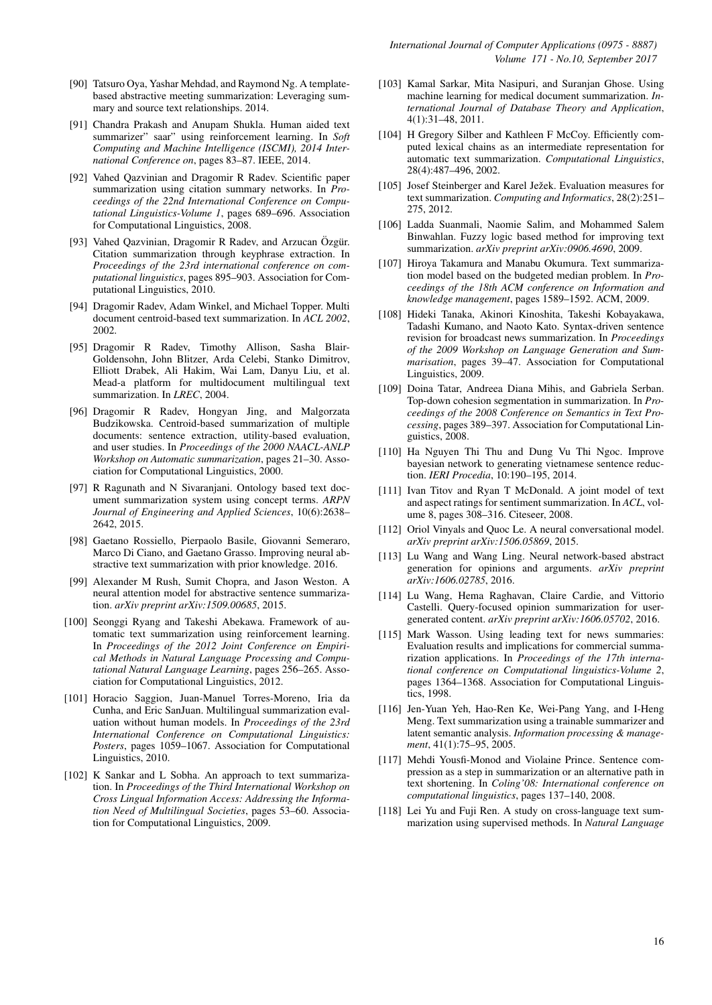- <span id="page-15-18"></span>[90] Tatsuro Oya, Yashar Mehdad, and Raymond Ng. A templatebased abstractive meeting summarization: Leveraging summary and source text relationships. 2014.
- <span id="page-15-13"></span>[91] Chandra Prakash and Anupam Shukla. Human aided text summarizer" saar" using reinforcement learning. In *Soft Computing and Machine Intelligence (ISCMI), 2014 International Conference on*, pages 83–87. IEEE, 2014.
- <span id="page-15-0"></span>[92] Vahed Qazvinian and Dragomir R Radev. Scientific paper summarization using citation summary networks. In *Proceedings of the 22nd International Conference on Computational Linguistics-Volume 1*, pages 689–696. Association for Computational Linguistics, 2008.
- <span id="page-15-12"></span>[93] Vahed Qazvinian, Dragomir R Radev, and Arzucan Özgür. Citation summarization through keyphrase extraction. In *Proceedings of the 23rd international conference on computational linguistics*, pages 895–903. Association for Computational Linguistics, 2010.
- <span id="page-15-2"></span>[94] Dragomir Radev, Adam Winkel, and Michael Topper. Multi document centroid-based text summarization. In *ACL 2002*, 2002.
- <span id="page-15-16"></span>[95] Dragomir R Radev, Timothy Allison, Sasha Blair-Goldensohn, John Blitzer, Arda Celebi, Stanko Dimitrov, Elliott Drabek, Ali Hakim, Wai Lam, Danyu Liu, et al. Mead-a platform for multidocument multilingual text summarization. In *LREC*, 2004.
- <span id="page-15-3"></span>[96] Dragomir R Radev, Hongyan Jing, and Malgorzata Budzikowska. Centroid-based summarization of multiple documents: sentence extraction, utility-based evaluation, and user studies. In *Proceedings of the 2000 NAACL-ANLP Workshop on Automatic summarization*, pages 21–30. Association for Computational Linguistics, 2000.
- <span id="page-15-19"></span>[97] R Ragunath and N Sivaranjani. Ontology based text document summarization system using concept terms. *ARPN Journal of Engineering and Applied Sciences*, 10(6):2638– 2642, 2015.
- <span id="page-15-26"></span>[98] Gaetano Rossiello, Pierpaolo Basile, Giovanni Semeraro, Marco Di Ciano, and Gaetano Grasso. Improving neural abstractive text summarization with prior knowledge. 2016.
- <span id="page-15-25"></span>[99] Alexander M Rush, Sumit Chopra, and Jason Weston. A neural attention model for abstractive sentence summarization. *arXiv preprint arXiv:1509.00685*, 2015.
- <span id="page-15-14"></span>[100] Seonggi Ryang and Takeshi Abekawa. Framework of automatic text summarization using reinforcement learning. In *Proceedings of the 2012 Joint Conference on Empirical Methods in Natural Language Processing and Computational Natural Language Learning*, pages 256–265. Association for Computational Linguistics, 2012.
- <span id="page-15-28"></span>[101] Horacio Saggion, Juan-Manuel Torres-Moreno, Iria da Cunha, and Eric SanJuan. Multilingual summarization evaluation without human models. In *Proceedings of the 23rd International Conference on Computational Linguistics: Posters*, pages 1059–1067. Association for Computational Linguistics, 2010.
- <span id="page-15-22"></span>[102] K Sankar and L Sobha. An approach to text summarization. In *Proceedings of the Third International Workshop on Cross Lingual Information Access: Addressing the Information Need of Multilingual Societies*, pages 53–60. Association for Computational Linguistics, 2009.
- <span id="page-15-9"></span>[103] Kamal Sarkar, Mita Nasipuri, and Suranjan Ghose. Using machine learning for medical document summarization. *International Journal of Database Theory and Application*, 4(1):31–48, 2011.
- <span id="page-15-23"></span>[104] H Gregory Silber and Kathleen F McCoy. Efficiently computed lexical chains as an intermediate representation for automatic text summarization. *Computational Linguistics*, 28(4):487–496, 2002.
- <span id="page-15-6"></span>[105] Josef Steinberger and Karel Ježek. Evaluation measures for text summarization. *Computing and Informatics*, 28(2):251– 275, 2012.
- <span id="page-15-5"></span>[106] Ladda Suanmali, Naomie Salim, and Mohammed Salem Binwahlan. Fuzzy logic based method for improving text summarization. *arXiv preprint arXiv:0906.4690*, 2009.
- <span id="page-15-1"></span>[107] Hiroya Takamura and Manabu Okumura. Text summarization model based on the budgeted median problem. In *Proceedings of the 18th ACM conference on Information and knowledge management*, pages 1589–1592. ACM, 2009.
- <span id="page-15-21"></span>[108] Hideki Tanaka, Akinori Kinoshita, Takeshi Kobayakawa, Tadashi Kumano, and Naoto Kato. Syntax-driven sentence revision for broadcast news summarization. In *Proceedings of the 2009 Workshop on Language Generation and Summarisation*, pages 39–47. Association for Computational Linguistics, 2009.
- <span id="page-15-24"></span>[109] Doina Tatar, Andreea Diana Mihis, and Gabriela Serban. Top-down cohesion segmentation in summarization. In *Proceedings of the 2008 Conference on Semantics in Text Processing*, pages 389–397. Association for Computational Linguistics, 2008.
- <span id="page-15-8"></span>[110] Ha Nguyen Thi Thu and Dung Vu Thi Ngoc. Improve bayesian network to generating vietnamese sentence reduction. *IERI Procedia*, 10:190–195, 2014.
- <span id="page-15-11"></span>[111] Ivan Titov and Ryan T McDonald. A joint model of text and aspect ratings for sentiment summarization. In *ACL*, volume 8, pages 308–316. Citeseer, 2008.
- <span id="page-15-4"></span>[112] Oriol Vinyals and Quoc Le. A neural conversational model. *arXiv preprint arXiv:1506.05869*, 2015.
- <span id="page-15-27"></span>[113] Lu Wang and Wang Ling. Neural network-based abstract generation for opinions and arguments. *arXiv preprint arXiv:1606.02785*, 2016.
- <span id="page-15-15"></span>[114] Lu Wang, Hema Raghavan, Claire Cardie, and Vittorio Castelli. Query-focused opinion summarization for usergenerated content. *arXiv preprint arXiv:1606.05702*, 2016.
- <span id="page-15-20"></span>[115] Mark Wasson. Using leading text for news summaries: Evaluation results and implications for commercial summarization applications. In *Proceedings of the 17th international conference on Computational linguistics-Volume 2*, pages 1364–1368. Association for Computational Linguistics, 1998.
- <span id="page-15-7"></span>[116] Jen-Yuan Yeh, Hao-Ren Ke, Wei-Pang Yang, and I-Heng Meng. Text summarization using a trainable summarizer and latent semantic analysis. *Information processing & management*, 41(1):75–95, 2005.
- <span id="page-15-17"></span>[117] Mehdi Yousfi-Monod and Violaine Prince. Sentence compression as a step in summarization or an alternative path in text shortening. In *Coling'08: International conference on computational linguistics*, pages 137–140, 2008.
- <span id="page-15-10"></span>[118] Lei Yu and Fuji Ren. A study on cross-language text summarization using supervised methods. In *Natural Language*